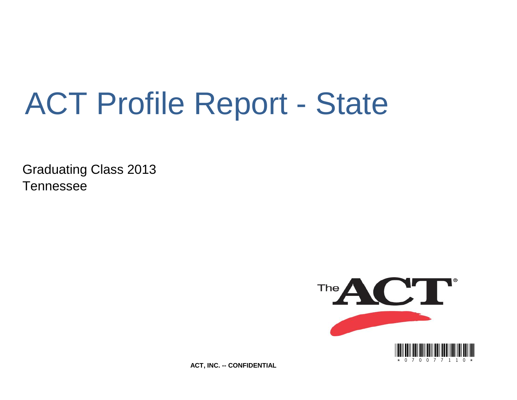# ACT Profile Report - State

Graduating Class 2013 Tennessee



**ACT, INC. -- CONFIDENTIAL**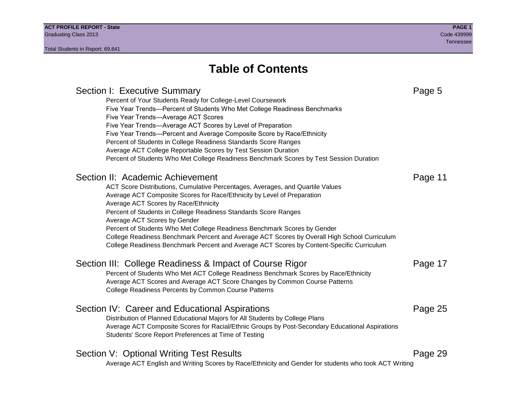# Section I: Executive Summary **Page 5** and the section I: Executive Summary Percent of Your Students Ready for College-Level Coursework Five Year Trends—Percent of Students Who Met College Readiness Benchmarks Five Year Trends—Average ACT Scores Five Year Trends—Average ACT Scores by Level of Preparation Five Year Trends—Percent and Average Composite Score by Race/Ethnicity Percent of Students in College Readiness Standards Score Ranges Average ACT College Reportable Scores by Test Session Duration Percent of Students Who Met College Readiness Benchmark Scores by Test Session Duration Section II: Academic Achievement **Page 11** Page 11 ACT Score Distributions, Cumulative Percentages, Averages, and Quartile Values Average ACT Composite Scores for Race/Ethnicity by Level of Preparation Average ACT Scores by Race/Ethnicity Percent of Students in College Readiness Standards Score Ranges Average ACT Scores by Gender Percent of Students Who Met College Readiness Benchmark Scores by Gender College Readiness Benchmark Percent and Average ACT Scores by Overall High School Curriculum College Readiness Benchmark Percent and Average ACT Scores by Content-Specific Curriculum Section III: College Readiness & Impact of Course Rigor Page 17 Percent of Students Who Met ACT College Readiness Benchmark Scores by Race/Ethnicity Average ACT Scores and Average ACT Score Changes by Common Course Patterns College Readiness Percents by Common Course Patterns Section IV: Career and Educational Aspirations **Page 25** Page 25 Distribution of Planned Educational Majors for All Students by College Plans Average ACT Composite Scores for Racial/Ethnic Groups by Post-Secondary Educational Aspirations Students' Score Report Preferences at Time of Testing Section V: Optional Writing Test Results **Page 29** Page 29 Average ACT English and Writing Scores by Race/Ethnicity and Gender for students who took ACT Writing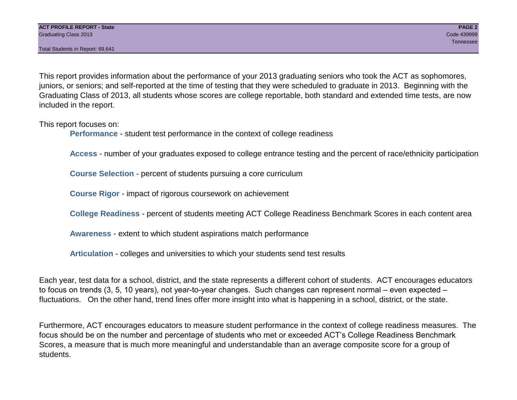This report provides information about the performance of your 2013 graduating seniors who took the ACT as sophomores, juniors, or seniors; and self-reported at the time of testing that they were scheduled to graduate in 2013. Beginning with the Graduating Class of 2013, all students whose scores are college reportable, both standard and extended time tests, are now included in the report.

This report focuses on:

**Performance** - student test performance in the context of college readiness

**Access** - number of your graduates exposed to college entrance testing and the percent of race/ethnicity participation

**Course Selection** - percent of students pursuing a core curriculum

**Course Rigor** - impact of rigorous coursework on achievement

**College Readiness** - percent of students meeting ACT College Readiness Benchmark Scores in each content area

**Awareness** - extent to which student aspirations match performance

**Articulation** - colleges and universities to which your students send test results

Each year, test data for a school, district, and the state represents a different cohort of students. ACT encourages educators to focus on trends (3, 5, 10 years), not year-to-year changes. Such changes can represent normal – even expected – fluctuations. On the other hand, trend lines offer more insight into what is happening in a school, district, or the state.

Furthermore, ACT encourages educators to measure student performance in the context of college readiness measures. The focus should be on the number and percentage of students who met or exceeded ACT's College Readiness Benchmark Scores, a measure that is much more meaningful and understandable than an average composite score for a group of students.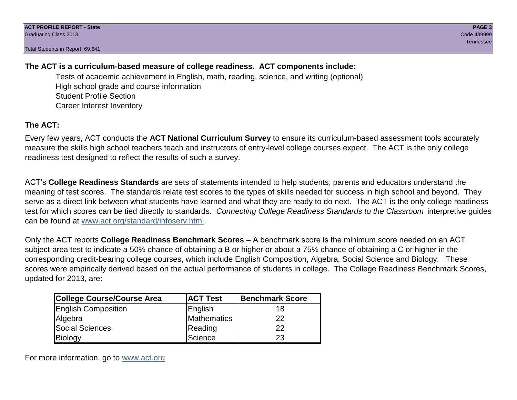# **The ACT is a curriculum-based measure of college readiness. ACT components include:**

Tests of academic achievement in English, math, reading, science, and writing (optional) High school grade and course information Student Profile Section Career Interest Inventory

# **The ACT:**

Every few years, ACT conducts the **ACT National Curriculum Survey** to ensure its curriculum-based assessment tools accurately measure the skills high school teachers teach and instructors of entry-level college courses expect. The ACT is the only college readiness test designed to reflect the results of such a survey.

ACT's **College Readiness Standards** are sets of statements intended to help students, parents and educators understand the meaning of test scores. The standards relate test scores to the types of skills needed for success in high school and beyond. They serve as a direct link between what students have learned and what they are ready to do next. The ACT is the only college readiness test for which scores can be tied directly to standards. *Connecting College Readiness Standards to the Classroom* interpretive guides can be found at www.act.org/standard/infoserv.html.

Only the ACT reports **College Readiness Benchmark Scores** – A benchmark score is the minimum score needed on an ACT subject-area test to indicate a 50% chance of obtaining a B or higher or about a 75% chance of obtaining a C or higher in the corresponding credit-bearing college courses, which include English Composition, Algebra, Social Science and Biology. These scores were empirically derived based on the actual performance of students in college. The College Readiness Benchmark Scores, updated for 2013, are:

| College Course/Course Area | <b>ACT Test</b> | <b>Benchmark Score</b> |
|----------------------------|-----------------|------------------------|
| <b>English Composition</b> | English         | 18                     |
| Algebra                    | Mathematics     | 22                     |
| <b>Social Sciences</b>     | Reading         | 22                     |
| Biology                    | Science         | 23                     |

For more information, go to www.act.org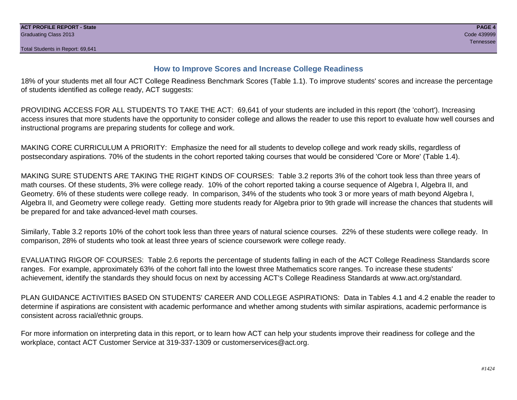# **How to Improve Scores and Increase College Readiness**

18% of your students met all four ACT College Readiness Benchmark Scores (Table 1.1). To improve students' scores and increase the percentage of students identified as college ready, ACT suggests:

PROVIDING ACCESS FOR ALL STUDENTS TO TAKE THE ACT: 69,641 of your students are included in this report (the 'cohort'). Increasing access insures that more students have the opportunity to consider college and allows the reader to use this report to evaluate how well courses and instructional programs are preparing students for college and work.

MAKING CORE CURRICULUM A PRIORITY: Emphasize the need for all students to develop college and work ready skills, regardless of postsecondary aspirations. 70% of the students in the cohort reported taking courses that would be considered 'Core or More' (Table 1.4).

MAKING SURE STUDENTS ARE TAKING THE RIGHT KINDS OF COURSES: Table 3.2 reports 3% of the cohort took less than three years of math courses. Of these students, 3% were college ready. 10% of the cohort reported taking a course sequence of Algebra I, Algebra II, and Geometry. 6% of these students were college ready. In comparison, 34% of the students who took 3 or more years of math beyond Algebra I, Algebra II, and Geometry were college ready. Getting more students ready for Algebra prior to 9th grade will increase the chances that students will be prepared for and take advanced-level math courses.

Similarly, Table 3.2 reports 10% of the cohort took less than three years of natural science courses. 22% of these students were college ready. In comparison, 28% of students who took at least three years of science coursework were college ready.

EVALUATING RIGOR OF COURSES: Table 2.6 reports the percentage of students falling in each of the ACT College Readiness Standards score ranges. For example, approximately 63% of the cohort fall into the lowest three Mathematics score ranges. To increase these students' achievement, identify the standards they should focus on next by accessing ACT's College Readiness Standards at www.act.org/standard.

PLAN GUIDANCE ACTIVITIES BASED ON STUDENTS' CAREER AND COLLEGE ASPIRATIONS: Data in Tables 4.1 and 4.2 enable the reader to determine if aspirations are consistent with academic performance and whether among students with similar aspirations, academic performance is consistent across racial/ethnic groups.

For more information on interpreting data in this report, or to learn how ACT can help your students improve their readiness for college and the workplace, contact ACT Customer Service at 319-337-1309 or customerservices@act.org.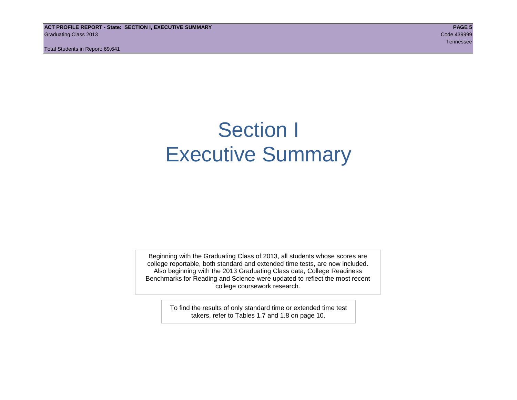**ACT PROFILE REPORT - State: SECTION I, EXECUTIVE SUMMARY PAGE 5** Graduating Class 2013 Code 439999

Total Students in Report: 69,641

Tennessee in die Staatsmannen van die Staatsmannen van die Staatsmannen van die Staatsmannen van die Staatsman

# Section I Executive Summary

Beginning with the Graduating Class of 2013, all students whose scores are college reportable, both standard and extended time tests, are now included. Also beginning with the 2013 Graduating Class data, College Readiness Benchmarks for Reading and Science were updated to reflect the most recent college coursework research.

> To find the results of only standard time or extended time test takers, refer to Tables 1.7 and 1.8 on page 10.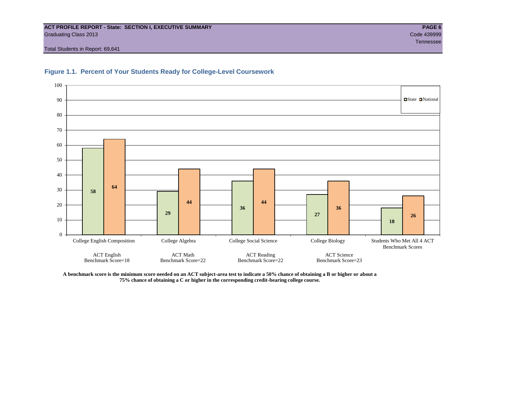#### **ACT PROFILE REPORT - State: SECTION I, EXECUTIVE SUMMARY PAGE 6** Graduating Class 2013 Code 439999

Total Students in Report: 69,641





**A benchmark score is the minimum score needed on an ACT subject-area test to indicate a 50% chance of obtaining a B or higher or about a 75% chance of obtaining a C or higher in the corresponding credit-bearing college course.**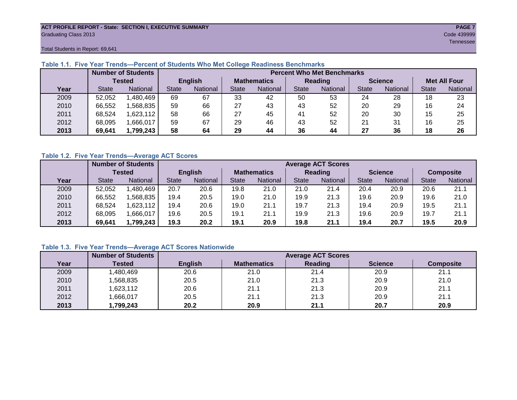#### **ACT PROFILE REPORT - State: SECTION I, EXECUTIVE SUMMARY PAGE 7** Graduating Class 2013 Code 439999

Tennessee in die Staatsmannen van die Staatsmannen van die Staatsmannen van die Staatsmannen van die Staatsman

Total Students in Report: 69,641

|      |              | <b>Number of Students</b> |              |                |       |                    |              | <b>Percent Who Met Benchmarks</b> |              |                |              |                     |
|------|--------------|---------------------------|--------------|----------------|-------|--------------------|--------------|-----------------------------------|--------------|----------------|--------------|---------------------|
|      |              | <b>Tested</b>             |              | <b>English</b> |       | <b>Mathematics</b> |              | Reading                           |              | <b>Science</b> |              | <b>Met All Four</b> |
| Year | <b>State</b> | <b>National</b>           | <b>State</b> | National       | State | National           | <b>State</b> | National                          | <b>State</b> | National       | <b>State</b> | National            |
| 2009 | 52,052       | .480,469                  | 69           | 67             | 33    | 42                 | 50           | 53                                | 24           | 28             | 18           | 23                  |
| 2010 | 66,552       | .568.835                  | 59           | 66             | 27    | 43                 | 43           | 52                                | 20           | 29             | 16           | 24                  |
| 2011 | 68,524       | .623,112                  | 58           | 66             | 27    | 45                 | 41           | 52                                | 20           | 30             | 15           | 25                  |
| 2012 | 68,095       | .666,017                  | 59           | 67             | 29    | 46                 | 43           | 52                                | 21           | 31             | 16           | 25                  |
| 2013 | 69,641       | 1,799,243                 | 58           | 64             | 29    | 44                 | 36           | 44                                | 27           | 36             | 18           | 26                  |

# **Table 1.1. Five Year Trends—Percent of Students Who Met College Readiness Benchmarks**

# **Table 1.2. Five Year Trends—Average ACT Scores**

|      |              | <b>Number of Students</b> |              |                |       |                    |       | <b>Average ACT Scores</b> |              |                |              |                  |
|------|--------------|---------------------------|--------------|----------------|-------|--------------------|-------|---------------------------|--------------|----------------|--------------|------------------|
|      |              | Tested                    |              | <b>English</b> |       | <b>Mathematics</b> |       | <b>Reading</b>            |              | <b>Science</b> |              | <b>Composite</b> |
| Year | <b>State</b> | <b>National</b>           | <b>State</b> | National       | State | National           | State | <b>National</b>           | <b>State</b> | National       | <b>State</b> | National         |
| 2009 | 52.052       | ,480,469                  | 20.7         | 20.6           | 19.8  | 21.0               | 21.0  | 21.4                      | 20.4         | 20.9           | 20.6         | 21.1             |
| 2010 | 66,552       | .568.835                  | 19.4         | 20.5           | 19.0  | 21.0               | 19.9  | 21.3                      | 19.6         | 20.9           | 19.6         | 21.0             |
| 2011 | 68.524       | ,623,112                  | 19.4         | 20.6           | 19.0  | 21.1               | 19.7  | 21.3                      | 19.4         | 20.9           | 19.5         | 21.1             |
| 2012 | 68,095       | .666,017                  | 19.6         | 20.5           | 19.1  | 21.1               | 19.9  | 21.3                      | 19.6         | 20.9           | 19.7         | 21.1             |
| 2013 | 69,641       | 1,799,243                 | 19.3         | 20.2           | 19.1  | 20.9               | 19.8  | 21.1                      | 19.4         | 20.7           | 19.5         | 20.9             |

# **Table 1.3. Five Year Trends—Average ACT Scores Nationwide**

|      | <b>Number of Students</b> |                |                    | <b>Average ACT Scores</b> |                |                  |
|------|---------------------------|----------------|--------------------|---------------------------|----------------|------------------|
| Year | Tested                    | <b>English</b> | <b>Mathematics</b> | Reading                   | <b>Science</b> | <b>Composite</b> |
| 2009 | ,480,469                  | 20.6           | 21.0               | 21.4                      | 20.9           | 21.1             |
| 2010 | ,568,835                  | 20.5           | 21.0               | 21.3                      | 20.9           | 21.0             |
| 2011 | ,623,112                  | 20.6           | 21.1               | 21.3                      | 20.9           | 21.1             |
| 2012 | ,666,017                  | 20.5           | 21.1               | 21.3                      | 20.9           | 21.1             |
| 2013 | ,799,243                  | 20.2           | 20.9               | 21.1                      | 20.7           | 20.9             |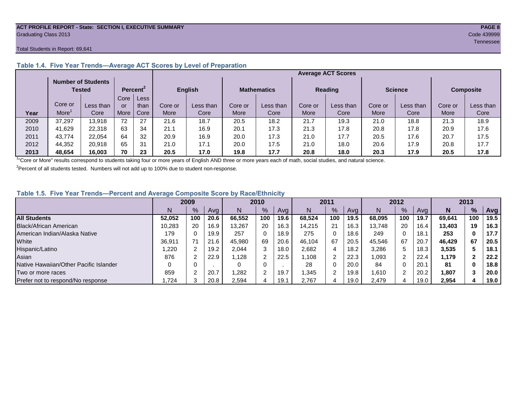#### **ACT PROFILE REPORT - State: SECTION I, EXECUTIVE SUMMARY PAGE 8** Graduating Class 2013 Code 439999

#### Total Students in Report: 69,641

|      |         |                                     |      |                      |         |                |         |                    |         | <b>Average ACT Scores</b> |         |                |         |                  |
|------|---------|-------------------------------------|------|----------------------|---------|----------------|---------|--------------------|---------|---------------------------|---------|----------------|---------|------------------|
|      |         | <b>Number of Students</b><br>Tested |      | Percent <sup>2</sup> |         | <b>English</b> |         | <b>Mathematics</b> |         | <b>Reading</b>            |         | <b>Science</b> |         | <b>Composite</b> |
|      |         |                                     | Core | Less <sup>7</sup>    |         |                |         |                    |         |                           |         |                |         |                  |
|      | Core or | Less than                           | or   | than                 | Core or | Less than      | Core or | Less than          | Core or | Less than                 | Core or | Less than      | Core or | Less than        |
| Year | More    | Core                                | More | Core                 | More    | Core           | More    | Core               | More    | Core                      | More    | Core           | More    | Core             |
| 2009 | 37,297  | 13,918                              | 72   | 27                   | 21.6    | 18.7           | 20.5    | 18.2               | 21.7    | 19.3                      | 21.0    | 18.8           | 21.3    | 18.9             |
| 2010 | 41.629  | 22.318                              | 63   | 34                   | 21.1    | 16.9           | 20.1    | 17.3               | 21.3    | 17.8                      | 20.8    | 17.8           | 20.9    | 17.6             |
| 2011 | 43,774  | 22.054                              | 64   | 32                   | 20.9    | 16.9           | 20.0    | 17.3               | 21.0    | 17.7                      | 20.5    | 17.6           | 20.7    | 17.5             |
| 2012 | 44,352  | 20.918                              | 65   | 31                   | 21.0    | 17.1           | 20.0    | 17.5               | 21.0    | 18.0                      | 20.6    | 17.9           | 20.8    | 17.7             |
| 2013 | 48,654  | 16.003                              | 70   | 23                   | 20.5    | 17.0           | 19.8    | 17.7               | 20.8    | 18.0                      | 20.3    | 17.9           | 20.5    | 17.8             |

# **Table 1.4. Five Year Trends—Average ACT Scores by Level of Preparation**

<sup>1</sup>"Core or More" results correspond to students taking four or more years of English AND three or more years each of math, social studies, and natural science.

 $2$ Percent of all students tested. Numbers will not add up to 100% due to student non-response.

# **Table 1.5. Five Year Trends—Percent and Average Composite Score by Race/Ethnicity**

|                                        |        | 2009 |      |        | 2010       |      |        | 2011 |      |        | 2012 |      |        | 2013 |      |
|----------------------------------------|--------|------|------|--------|------------|------|--------|------|------|--------|------|------|--------|------|------|
|                                        | N      | %    | Avg  | N      | %          | Avg  | N      | %    | Avg  | N      | %    | Ava  | N      | %    | Avg  |
| <b>All Students</b>                    | 52.052 | 100  | 20.6 | 66.552 | 100        | 19.6 | 68.524 | 100  | 19.5 | 68.095 | 100  | 19.7 | 69.641 | 100  | 19.5 |
| Black/African American                 | 10.283 | 20   | 16.9 | 13,267 | 20         | 16.3 | 14,215 | 21   | 16.3 | 13.748 | 20   | 16.4 | 13.403 | 19   | 16.3 |
| American Indian/Alaska Native          | 179    |      | 19.9 | 257    | 0          | 18.9 | 275    | 0    | 18.6 | 249    | 0    | 18.1 | 253    | 0    | 17.7 |
| White                                  | 36,911 |      | 21.6 | 45.980 | 69         | 20.6 | 46.104 | 67   | 20.5 | 45.546 | 67   | 20.7 | 46.429 | 67   | 20.5 |
| Hispanic/Latino                        | .220   |      | 19.2 | 2.044  | 3          | 18.0 | 2,682  |      | 18.2 | 3,286  | 5.   | 18.3 | 3,535  |      | 18.1 |
| Asian                                  | 876    |      | 22.9 | .128   | $\sqrt{2}$ | 22.5 | .108   | 2    | 22.3 | 1,093  | 2    | 22.4 | 1,179  |      | 22.2 |
| Native Hawaiian/Other Pacific Islander |        |      |      |        | 0          |      | 28     | 0    | 20.0 | 84     | 0    | 20.1 | 81     |      | 18.8 |
| Two or more races                      | 859    |      | 20.7 | ,282   | $\sim$     | 19.7 | .345   |      | 19.8 | 1.610  | ົ    | 20.2 | 1,807  |      | 20.0 |
| Prefer not to respond/No response      | .724   |      | 20.8 | 2,594  | 4          | 19.1 | 2,767  | 4    | 19.0 | 2.479  | 4    | 19.0 | 2,954  | 4    | 19.0 |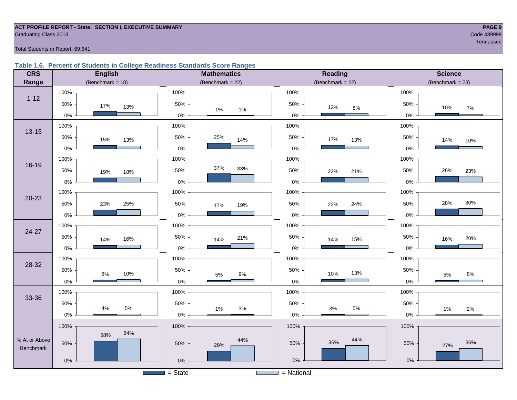#### **ACT PROFILE REPORT - State: SECTION I, EXECUTIVE SUMMARY PAGE 9 Graduating Class 2013** Code 439999

# Tennessee in die Staatsmannen van die Staatsmannen van die Staatsmannen van die Staatsmannen van die Staatsman

### Total Students in Report: 69,641

# **Table 1.6. Percent of Students in College Readiness Standards Score Ranges**

| <b>CRS</b>    | <b>English</b>      | <b>Mathematics</b>                    | Reading             | <b>Science</b>       |
|---------------|---------------------|---------------------------------------|---------------------|----------------------|
| Range         | (Benchmark = $18$ ) | (Benchmark = $22$ )                   | (Benchmark = $22$ ) | $(Benchmark = 23)$   |
|               | 100%                | 100%                                  | 100%                | 100%                 |
| $1 - 12$      | 50%<br>17%<br>13%   | 50%                                   | 50%<br>12%<br>$8\%$ | 50%<br>10%<br>$7\%$  |
|               | $0\%$               | 1%<br>$1\%$<br>$0\%$                  | $0\%$               | 0%                   |
|               | 100%                | 100%                                  | 100%                | 100%                 |
| $13 - 15$     | 50%<br>15%<br>13%   | 50%<br>25%<br>14%                     | 50%<br>17%<br>13%   | 50%<br>14%<br>10%    |
|               | $0\%$               | 0%                                    | $0\%$               | 0%                   |
|               | 100%                | 100%                                  | 100%                | 100%                 |
| 16-19         | 50%<br>19%<br>18%   | 37%<br>33%<br>50%                     | 50%<br>22%<br>21%   | 26%<br>50%<br>23%    |
|               | $0\%$               | $0\%$                                 | $0\%$               | 0%                   |
|               | 100%                | 100%                                  | 100%                | 100%                 |
| $20 - 23$     | 50%<br>25%<br>23%   | 50%<br>19%<br>17%                     | 50%<br>24%<br>22%   | 30%<br>28%<br>50%    |
|               | $0\%$               | 0%                                    | $0\%$               | 0%                   |
|               | 100%                | 100%                                  | 100%                | 100%                 |
| $24 - 27$     | 50%<br>16%<br>14%   | 50%<br>21%<br>14%                     | 50%<br>15%<br>14%   | 50%<br>20%<br>16%    |
|               | $0\%$               | $0\%$                                 | $0\%$               | 0%                   |
| 28-32         | 100%                | 100%                                  | 100%                | 100%                 |
|               | 50%<br>10%<br>$8\%$ | 50%<br>9%<br>5%                       | 50%<br>13%<br>10%   | 50%<br>8%<br>5%      |
|               | $0\%$               | $0\%$                                 | $0\%$               | 0%                   |
| 33-36         | 100%                | 100%                                  | 100%                | 100%                 |
|               | 50%<br>$5\%$<br>4%  | 50%                                   | 50%<br>$5\%$        | 50%                  |
|               | $0\%$               | $3%$<br>1%<br>0%                      | $3%$<br>$0\%$       | $2\%$<br>1%<br>$0\%$ |
|               | 100%                | 100%                                  | 100%                | 100%                 |
| % At or Above | 64%<br>58%          | 44%                                   | 44%                 |                      |
| Benchmark     | 50%                 | 50%<br>29%                            | 36%<br>50%          | 36%<br>50%<br>27%    |
|               | $0\%$               | 0%                                    | 0%                  | $0\%$                |
|               |                     | $=$ State<br><b>Contract Contract</b> | $=$ National        |                      |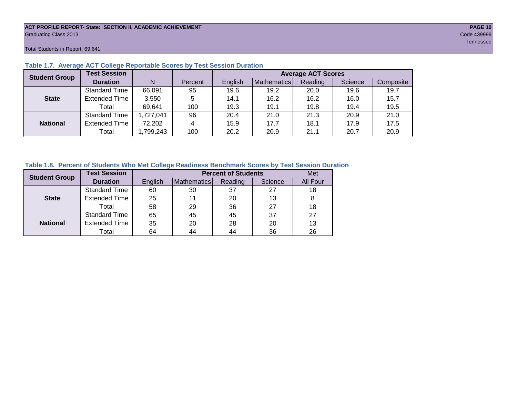#### **ACT PROFILE REPORT- State: SECTION II, ACADEMIC ACHIEVEMENT PAGE 10** Graduating Class 2013 Code 439999

Total Students in Report: 69,641

| <b>Student Group</b> | <b>Test Session</b>  |           |         |         |             | <b>Average ACT Scores</b> |         |           |
|----------------------|----------------------|-----------|---------|---------|-------------|---------------------------|---------|-----------|
|                      | <b>Duration</b>      | N         | Percent | English | Mathematics | Reading                   | Science | Composite |
|                      | <b>Standard Time</b> | 66,091    | 95      | 19.6    | 19.2        | 20.0                      | 19.6    | 19.7      |
| <b>State</b>         | <b>Extended Time</b> | 3,550     | 5       | 14.1    | 16.2        | 16.2                      | 16.0    | 15.7      |
|                      | Total                | 69.641    | 100     | 19.3    | 19.1        | 19.8                      | 19.4    | 19.5      |
|                      | <b>Standard Time</b> | 1,727,041 | 96      | 20.4    | 21.0        | 21.3                      | 20.9    | 21.0      |
| <b>National</b>      | <b>Extended Time</b> | 72,202    | 4       | 15.9    | 17.7        | 18.1                      | 17.9    | 17.5      |
|                      | Total                | ,799,243  | 100     | 20.2    | 20.9        | 21.1                      | 20.7    | 20.9      |

### **Table 1.7. Average ACT College Reportable Scores by Test Session Duration**

# **Table 1.8. Percent of Students Who Met College Readiness Benchmark Scores by Test Session Duration**

| <b>Student Group</b> | <b>Test Session</b>  |         |             | <b>Percent of Students</b> |         | Met      |
|----------------------|----------------------|---------|-------------|----------------------------|---------|----------|
|                      | <b>Duration</b>      | English | Mathematics | Reading                    | Science | All Four |
|                      | Standard Time        | 60      | 30          | 37                         | 27      | 18       |
| <b>State</b>         | <b>Extended Time</b> | 25      | 11          | 20                         | 13      | 8        |
|                      | Total                | 58      | 29          | 36                         | 27      | 18       |
|                      | <b>Standard Time</b> | 65      | 45          | 45                         | 37      | 27       |
| <b>National</b>      | <b>Extended Time</b> | 35      | 20          | 28                         | 20      | 13       |
|                      | Total                | 64      | 44          | 44                         | 36      | 26       |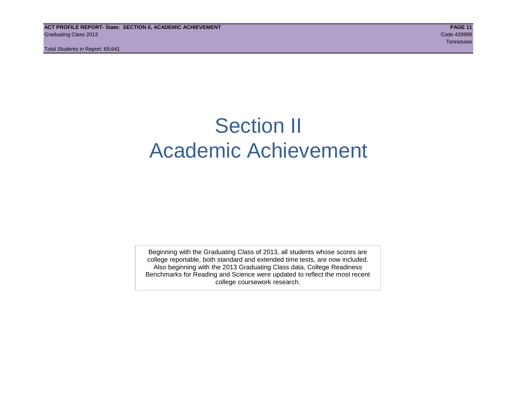# Section II Academic Achievement

Beginning with the Graduating Class of 2013, all students whose scores are college reportable, both standard and extended time tests, are now included. Also beginning with the 2013 Graduating Class data, College Readiness Benchmarks for Reading and Science were updated to reflect the most recent college coursework research.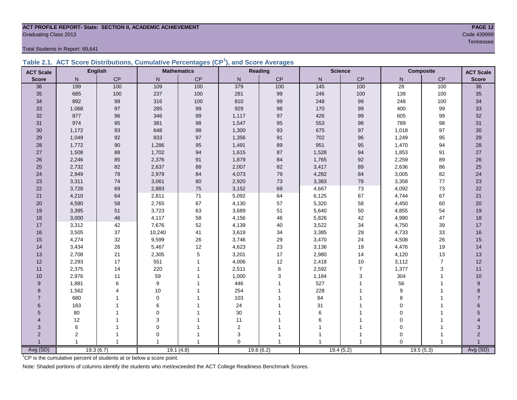#### **ACT PROFILE REPORT- State: SECTION II, ACADEMIC ACHIEVEMENT PAGE 12 Graduating Class 2013** Code 439999

Total Students in Report: 69,641

|  | Table 2.1. ACT Score Distributions, Cumulative Percentages (CP <sup>1</sup> ), and Score Averages |  |  |  |
|--|---------------------------------------------------------------------------------------------------|--|--|--|
|  |                                                                                                   |  |  |  |

| <b>ACT Scale</b> |                | <b>English</b> |              | <b>Mathematics</b> |             | Reading   |                   | <b>Science</b> |                 | Composite      | <b>ACT Scale</b> |
|------------------|----------------|----------------|--------------|--------------------|-------------|-----------|-------------------|----------------|-----------------|----------------|------------------|
| <b>Score</b>     | N              | CP             | $\mathsf{N}$ | CP                 | N           | CP        | ${\sf N}$         | CP             | N               | CP             | <b>Score</b>     |
| 36               | 199            | 100            | 109          | 100                | 379         | 100       | $\frac{145}{145}$ | 100            | $\overline{28}$ | 100            | $\overline{36}$  |
| 35               | 685            | 100            | 237          | 100                | 281         | 99        | 246               | 100            | 139             | 100            | 35               |
| 34               | 892            | 99             | 316          | 100                | 810         | 99        | 248               | 99             | 248             | 100            | 34               |
| 33               | 1,068          | 97             | 285          | 99                 | 929         | 98        | 170               | 99             | 400             | 99             | 33               |
| 32               | 877            | 96             | 346          | 99                 | 1,117       | 97        | 426               | 99             | 605             | 99             | 32               |
| 31               | 974            | 95             | 381          | $98\,$             | 1,547       | 95        | 553               | 98             | 789             | 98             | 31               |
| 30               | 1,172          | 93             | 648          | 98                 | 1,300       | 93        | 675               | 97             | 1,018           | 97             | $30\,$           |
| 29               | 1,049          | 92             | 833          | 97                 | 1,356       | 91        | 702               | 96             | 1,249           | 95             | 29               |
| 28               | 1,772          | $90\,$         | 1,286        | 95                 | 1,491       | 89        | 951               | 95             | 1,470           | 94             | 28               |
| 27               | 1,508          | 88             | 1,702        | 94                 | 1,615       | 87        | 1,528             | 94             | 1,853           | 91             | $27\,$           |
| 26               | 2,246          | 85             | 2,376        | 91                 | 1,879       | 84        | 1,765             | 92             | 2,259           | 89             | $26\,$           |
| 25               | 2,732          | 82             | 2,637        | 88                 | 2,007       | 82        | 3,417             | 89             | 2,636           | 86             | 25               |
| 24               | 2,949          | 78             | 2,979        | 84                 | 4,073       | 79        | 4,282             | 84             | 3,005           | 82             | 24               |
| 23               | 3,311          | $74\,$         | 3,061        | $80\,$             | 2,920       | 73        | 3,383             | ${\bf 78}$     | 3,358           | $77\,$         | 23               |
| 22               | 3,728          | 69             | 2,883        | 75                 | 3,152       | 69        | 4,667             | 73             | 4,092           | 73             | 22               |
| 21               | 4,210          | 64             | 2,811        | 71                 | 5,092       | 64        | 6,125             | 67             | 4,744           | 67             | 21               |
| 20               | 4,590          | 58             | 2,765        | 67                 | 4,130       | 57        | 5,320             | 58             | 4,450           | 60             | 20               |
| 19               | 3,395          | 51             | 3,723        | 63                 | 3,689       | 51        | 5,640             | 50             | 4,855           | 54             | 19               |
| 18               | 3,000          | 46             | 4,117        | 58                 | 4,156       | 46        | 5,826             | 42             | 4,990           | 47             | 18               |
| 17               | 3,312          | 42             | 7,676        | 52                 | 4,139       | 40        | 3,522             | 34             | 4,750           | 39             | 17               |
| 16               | 3,505          | 37             | 10,240       | 41                 | 3,619       | 34        | 3,385             | 29             | 4,733           | 33             | 16               |
| 15               | 4,274          | 32             | 9,599        | 26                 | 3,746       | 29        | 3,470             | 24             | 4,508           | 26             | 15               |
| 14               | 3,434          | 26             | 5,467        | 12                 | 4,623       | 23        | 3,136             | $19$           | 4,476           | 19             | 14               |
| 13               | 2,708          | 21             | 2,305        | $\mathbf 5$        | 3,201       | 17        | 2,980             | 14             | 4,120           | 13             | 13               |
| 12               | 2,293          | 17             | 551          | $\mathbf{1}$       | 4,006       | 12        | 2,418             | 10             | 3,112           | $\overline{7}$ | 12               |
| 11               | 2,375          | 14             | 220          |                    | 2,511       | 6         | 2,592             | $\overline{7}$ | 1,377           | 3              | 11               |
| 10               | 2,976          | 11             | 59           |                    | 1,000       | 3         | 1,184             | 3              | 304             | $\mathbf{1}$   | 10               |
| 9                | 1,881          | 6              | 9            |                    | 446         |           | 527               | 1              | 56              |                | 9                |
| 8                | 1,562          | Δ              | 10           |                    | 254         |           | 228               | 1              | 9               |                | 8                |
| $\overline{7}$   | 680            |                | $\mathbf 0$  |                    | 103         |           | 84                |                | 8               |                | $\overline{7}$   |
| 6                | 183            |                | 6            |                    | 24          |           | 31                | 1              | $\mathbf 0$     |                | 6                |
| 5                | 80             |                | $\mathbf 0$  |                    | 30          |           | 6                 |                | $\mathbf 0$     |                | 5                |
| 4                | 12             |                | 3            |                    | 11          |           | 6                 | 1              | $\mathbf 0$     |                |                  |
| 3                | 6              |                | $\mathbf 0$  |                    | $\mathbf 2$ |           |                   | 1              | $\mathbf 0$     |                | 3                |
| $\overline{2}$   | $\overline{c}$ | 1              | $\mathbf 0$  |                    | 3           |           |                   | 1              | $\mathbf 0$     |                | $\overline{2}$   |
|                  |                | $\mathbf{1}$   |              | $\mathbf{1}$       | $\Omega$    |           |                   |                | $\Omega$        | $\overline{1}$ |                  |
| Avg (SD)         |                | 19.3(6.7)      |              | 19.1(4.8)          |             | 19.8(6.2) |                   | 19.4(5.2)      |                 | 19.5(5.3)      | Avg (SD)         |

<sup>1</sup>CP is the cumulative percent of students at or below a score point.

Note: Shaded portions of columns identify the students who met/exceeded the ACT College Readiness Benchmark Scores.

Tennessee in die Staatsmannen van die Staatsmannen van die Staatsmannen van die Staatsmannen van die Staatsman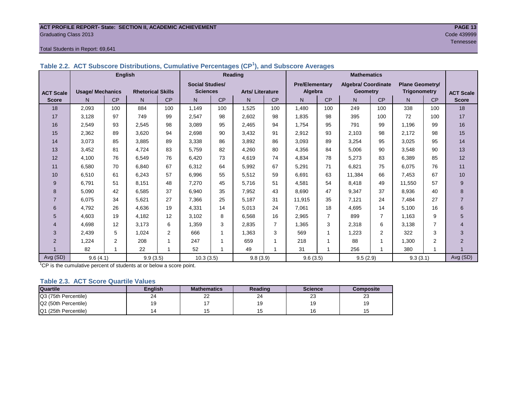#### **ACT PROFILE REPORT- State: SECTION II, ACADEMIC ACHIEVEMENT PAGE 13 Graduating Class 2013** Code 439999

#### Total Students in Report: 69,641

|--|

|                  | <b>English</b>          |                |                          |     | Reading                |     |                        |     |                       | <b>Mathematics</b> |                            |     |                        |                |                  |
|------------------|-------------------------|----------------|--------------------------|-----|------------------------|-----|------------------------|-----|-----------------------|--------------------|----------------------------|-----|------------------------|----------------|------------------|
|                  |                         |                |                          |     | <b>Social Studies/</b> |     |                        |     | <b>Pre/Elementary</b> |                    | <b>Algebra/ Coordinate</b> |     | <b>Plane Geometry/</b> |                |                  |
| <b>ACT Scale</b> | <b>Usage/ Mechanics</b> |                | <b>Rhetorical Skills</b> |     | <b>Sciences</b>        |     | <b>Arts/Literature</b> |     | Algebra               |                    | <b>Geometry</b>            |     | <b>Trigonometry</b>    |                | <b>ACT Scale</b> |
| <b>Score</b>     | N.                      | CP             | N                        | CP  | N                      | CP  | N                      | CP  | N <sub>1</sub>        | CP                 | N                          | CP  | N.                     | CP             | <b>Score</b>     |
| 18               | 2,093                   | 100            | 884                      | 100 | 1,149                  | 100 | 1,525                  | 100 | 1,480                 | 100                | 249                        | 100 | 338                    | 100            | 18               |
| 17               | 3,128                   | 97             | 749                      | 99  | 2,547                  | 98  | 2,602                  | 98  | 1,835                 | 98                 | 395                        | 100 | 72                     | 100            | 17               |
| 16               | 2,549                   | 93             | 2,545                    | 98  | 3,089                  | 95  | 2,465                  | 94  | 1,754                 | 95                 | 791                        | 99  | 1,196                  | 99             | 16               |
| 15               | 2,362                   | 89             | 3,620                    | 94  | 2,698                  | 90  | 3,432                  | 91  | 2,912                 | 93                 | 2,103                      | 98  | 2,172                  | 98             | 15               |
| 14               | 3,073                   | 85             | 3,885                    | 89  | 3,338                  | 86  | 3,892                  | 86  | 3,093                 | 89                 | 3,254                      | 95  | 3,025                  | 95             | 14               |
| 13               | 3,452                   | 81             | 4.724                    | 83  | 5,759                  | 82  | 4,260                  | 80  | 4,356                 | 84                 | 5,006                      | 90  | 3,548                  | 90             | 13               |
| 12               | 4,100                   | 76             | 6,549                    | 76  | 6,420                  | 73  | 4,619                  | 74  | 4,834                 | 78                 | 5,273                      | 83  | 6,389                  | 85             | 12               |
| 11               | 6,580                   | 70             | 6,840                    | 67  | 6,312                  | 64  | 5,992                  | 67  | 5,291                 | 71                 | 6,821                      | 75  | 6,075                  | 76             | 11               |
| 10               | 6,510                   | 61             | 6,243                    | 57  | 6,996                  | 55  | 5,512                  | 59  | 6,691                 | 63                 | 11,384                     | 66  | 7,453                  | 67             | 10               |
| 9                | 6,791                   | 51             | 8,151                    | 48  | 7,270                  | 45  | 5,716                  | 51  | 4,581                 | 54                 | 8,418                      | 49  | 11,550                 | 57             | 9                |
| 8                | 5,090                   | 42             | 6,585                    | 37  | 6,940                  | 35  | 7,952                  | 43  | 8,690                 | 47                 | 9,347                      | 37  | 8,936                  | 40             | 8                |
| $\overline{7}$   | 6,075                   | 34             | 5,621                    | 27  | 7,366                  | 25  | 5,187                  | 31  | 11,915                | 35                 | 7,121                      | 24  | 7,484                  | 27             | $\overline{7}$   |
| 6                | 4,792                   | 26             | 4,636                    | 19  | 4,331                  | 14  | 5,013                  | 24  | 7,061                 | 18                 | 4,695                      | 14  | 5,100                  | 16             | 6                |
| 5                | 4,603                   | 19             | 4,182                    | 12  | 3,102                  | 8   | 6,568                  | 16  | 2,965                 | 7                  | 899                        | 7   | 1,163                  | 9              | 5                |
| $\overline{4}$   | 4.698                   | 12             | 3,173                    | 6   | 1,359                  | 3   | 2,835                  | 7   | 1,365                 | 3                  | 2,318                      | 6   | 3,138                  | 7              | $\overline{4}$   |
| 3                | 2,439                   | 5              | 1,024                    | 2   | 666                    |     | 1,363                  | 3   | 569                   |                    | 1,223                      | 2   | 322                    | 3              | 3                |
| $\overline{2}$   | 1,224                   | $\overline{2}$ | 208                      |     | 247                    | 1   | 659                    |     | 218                   | 1                  | 88                         | 1   | 1,300                  | $\mathfrak{p}$ | 2                |
|                  | 82                      | 1              | 22                       | 1   | 52                     | 1   | 49                     | 1   | 31                    | 1                  | 256                        | 1   | 380                    | 1              |                  |
| Avg (SD)         | 9.6(4.1)                |                | 9.9(3.5)                 |     | 10.3(3.5)              |     | 9.8(3.9)               |     | 9.6(3.5)              |                    | 9.5(2.9)                   |     | 9.3(3.1)               |                | Avg (SD)         |

<sup>1</sup>CP is the cumulative percent of students at or below a score point.

#### **Table 2.3. ACT Score Quartile Values**

| <b>Quartile</b>      | Enalish | <b>Mathematics</b> | Reading      | <b>Science</b> | Composite |
|----------------------|---------|--------------------|--------------|----------------|-----------|
| Q3 (75th Percentile) | 24      | ົ<br>--            | $\sim$<br>24 | ົ<br>23        | nn<br>د∠  |
| Q2 (50th Percentile) | 19      |                    |              | 10             | 10<br>- ט |
| Q1 (25th Percentile) |         |                    |              | 16             |           |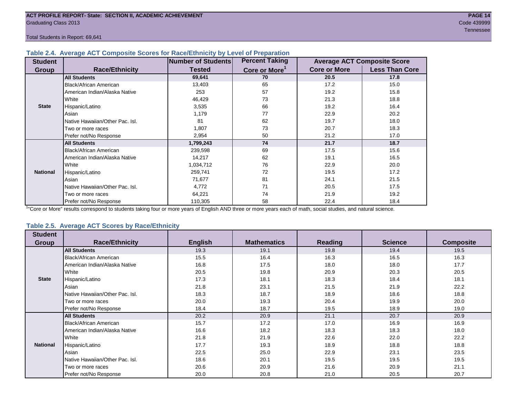### **Table 2.4. Average ACT Composite Scores for Race/Ethnicity by Level of Preparation**

| <b>Student</b>  |                                 | <b>Number of Students</b> | <b>Percent Taking</b>     |                     | <b>Average ACT Composite Score</b> |
|-----------------|---------------------------------|---------------------------|---------------------------|---------------------|------------------------------------|
| <b>Group</b>    | <b>Race/Ethnicity</b>           | <b>Tested</b>             | Core or More <sup>1</sup> | <b>Core or More</b> | <b>Less Than Core</b>              |
|                 | <b>All Students</b>             | 69,641                    | 70                        | 20.5                | 17.8                               |
|                 | Black/African American          | 13,403                    | 65                        | 17.2                | 15.0                               |
|                 | American Indian/Alaska Native   | 253                       | 57                        | 19.2                | 15.8                               |
|                 | <b>White</b>                    | 46,429                    | 73                        | 21.3                | 18.8                               |
| <b>State</b>    | Hispanic/Latino                 | 3,535                     | 66                        | 19.2                | 16.4                               |
|                 | Asian                           | 1,179                     | 77                        | 22.9                | 20.2                               |
|                 | Native Hawaiian/Other Pac. Isl. | 81                        | 62                        | 19.7                | 18.0                               |
|                 | I Two or more races             | 1,807                     | 73                        | 20.7                | 18.3                               |
|                 | Prefer not/No Response          | 2,954                     | 50                        | 21.2                | 17.0                               |
|                 | <b>All Students</b>             | 1,799,243                 | 74                        | 21.7                | 18.7                               |
|                 | Black/African American          | 239,598                   | 69                        | 17.5                | 15.6                               |
|                 | American Indian/Alaska Native   | 14,217                    | 62                        | 19.1                | 16.5                               |
|                 | <b>White</b>                    | 1,034,712                 | 76                        | 22.9                | 20.0                               |
| <b>National</b> | Hispanic/Latino                 | 259,741                   | 72                        | 19.5                | 17.2                               |
|                 | Asian                           | 71,677                    | 81                        | 24.1                | 21.5                               |
|                 | Native Hawaiian/Other Pac. Isl. | 4,772                     | 71                        | 20.5                | 17.5                               |
|                 | I Two or more races             | 64,221                    | 74                        | 21.9                | 19.2                               |
|                 | Prefer not/No Response          | 110,305                   | 58                        | 22.4                | 18.4                               |

<sup>1</sup>"Core or More" results correspond to students taking four or more years of English AND three or more years each of math, social studies, and natural science.

# **Table 2.5. Average ACT Scores by Race/Ethnicity**

| <b>Student</b><br><b>Group</b> | <b>Race/Ethnicity</b>           | <b>English</b> | <b>Mathematics</b> | <b>Reading</b> | <b>Science</b> | <b>Composite</b> |
|--------------------------------|---------------------------------|----------------|--------------------|----------------|----------------|------------------|
|                                |                                 |                |                    |                |                |                  |
|                                | <b>All Students</b>             | 19.3           | 19.1               | 19.8           | 19.4           | 19.5             |
|                                | <b>Black/African American</b>   | 15.5           | 16.4               | 16.3           | 16.5           | 16.3             |
|                                | American Indian/Alaska Native   | 16.8           | 17.5               | 18.0           | 18.0           | 17.7             |
|                                | White                           | 20.5           | 19.8               | 20.9           | 20.3           | 20.5             |
| <b>State</b>                   | Hispanic/Latino                 | 17.3           | 18.1               | 18.3           | 18.4           | 18.1             |
|                                | Asian                           | 21.8           | 23.1               | 21.5           | 21.9           | 22.2             |
|                                | Native Hawaiian/Other Pac. Isl. | 18.3           | 18.7               | 18.9           | 18.6           | 18.8             |
|                                | Two or more races               | 20.0           | 19.3               | 20.4           | 19.9           | 20.0             |
|                                | Prefer not/No Response          | 18.4           | 18.7               | 19.5           | 18.9           | 19.0             |
|                                | <b>All Students</b>             | 20.2           | 20.9               | 21.1           | 20.7           | 20.9             |
|                                | Black/African American          | 15.7           | 17.2               | 17.0           | 16.9           | 16.9             |
|                                | American Indian/Alaska Native   | 16.6           | 18.2               | 18.3           | 18.3           | 18.0             |
|                                | White                           | 21.8           | 21.9               | 22.6           | 22.0           | 22.2             |
| <b>National</b>                | Hispanic/Latino                 | 17.7           | 19.3               | 18.9           | 18.8           | 18.8             |
|                                | Asian                           | 22.5           | 25.0               | 22.9           | 23.1           | 23.5             |
|                                | Native Hawaiian/Other Pac. Isl. | 18.6           | 20.1               | 19.5           | 19.5           | 19.5             |
|                                | Two or more races               | 20.6           | 20.9               | 21.6           | 20.9           | 21.1             |
|                                | Prefer not/No Response          | 20.0           | 20.8               | 21.0           | 20.5           | 20.7             |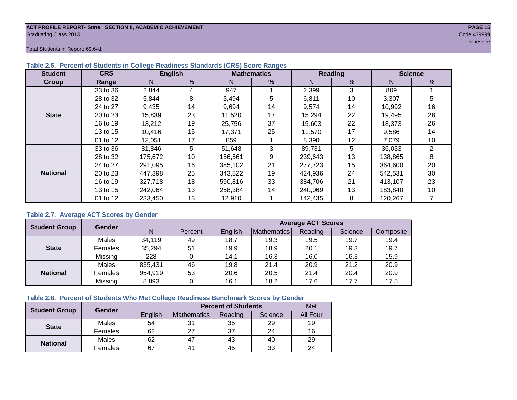#### **ACT PROFILE REPORT- State: SECTION II, ACADEMIC ACHIEVEMENT PAGE 15** Graduating Class 2013 Code 439999

Total Students in Report: 69,641

| <b>Student</b>  | <b>CRS</b> |         | <b>English</b> |         | <b>Mathematics</b> |         | <b>Reading</b> | <b>Science</b> |    |  |
|-----------------|------------|---------|----------------|---------|--------------------|---------|----------------|----------------|----|--|
| Group           | Range      | N       | %              | N       | %                  | Ν       | $\frac{9}{6}$  | N              | %  |  |
|                 | 33 to 36   | 2,844   | 4              | 947     |                    | 2,399   | 3              | 809            |    |  |
|                 | 28 to 32   | 5,844   | 8              | 3,494   | 5                  | 6,811   | 10             | 3,307          | 5  |  |
|                 | 24 to 27   | 9,435   | 14             | 9,694   | 14                 | 9,574   | 14             | 10,992         | 16 |  |
| <b>State</b>    | 20 to 23   | 15,839  | 23             | 11,520  | 17                 | 15,294  | 22             | 19,495         | 28 |  |
|                 | 16 to 19   | 13,212  | 19             | 25,756  | 37                 | 15.603  | 22             | 18,373         | 26 |  |
|                 | 13 to 15   | 10,416  | 15             | 17,371  | 25                 | 11,570  | 17             | 9,586          | 14 |  |
|                 | 01 to 12   | 12,051  | 17             | 859     |                    | 8,390   | 12             | 7,079          | 10 |  |
|                 | 33 to 36   | 81,846  | 5              | 51,648  | 3                  | 89,731  | 5              | 36,033         | 2  |  |
|                 | 28 to 32   | 175,672 | 10             | 156,561 | 9                  | 239,643 | 13             | 138,865        | 8  |  |
|                 | 24 to 27   | 291,095 | 16             | 385,102 | 21                 | 277,723 | 15             | 364,600        | 20 |  |
| <b>National</b> | 20 to 23   | 447,398 | 25             | 343,822 | 19                 | 424,936 | 24             | 542,531        | 30 |  |
|                 | 16 to 19   | 327,718 | 18             | 590,816 | 33                 | 384,706 | 21             | 413,107        | 23 |  |
|                 | 13 to 15   | 242,064 | 13             | 258,384 | 14                 | 240,069 | 13             | 183,840        | 10 |  |
|                 | 01 to 12   | 233,450 | 13             | 12,910  |                    | 142,435 | 8              | 120,267        |    |  |

# **Table 2.6. Percent of Students in College Readiness Standards (CRS) Score Ranges**

# **Table 2.7. Average ACT Scores by Gender**

| <b>Student Group</b> | <b>Gender</b> |         |         | <b>Average ACT Scores</b> |             |         |         |           |  |  |  |  |
|----------------------|---------------|---------|---------|---------------------------|-------------|---------|---------|-----------|--|--|--|--|
|                      |               | N       | Percent | Enalish                   | Mathematics | Reading | Science | Composite |  |  |  |  |
|                      | Males         | 34,119  | 49      | 18.7                      | 19.3        | 19.5    | 19.7    | 19.4      |  |  |  |  |
| <b>State</b>         | Females       | 35,294  | 51      | 19.9                      | 18.9        | 20.1    | 19.3    | 19.7      |  |  |  |  |
|                      | Missing       | 228     |         | 14.1                      | 16.3        | 16.0    | 16.3    | 15.9      |  |  |  |  |
|                      | Males         | 835,431 | 46      | 19.8                      | 21.4        | 20.9    | 21.2    | 20.9      |  |  |  |  |
| <b>National</b>      | Females       | 954,919 | 53      | 20.6                      | 20.5        | 21.4    | 20.4    | 20.9      |  |  |  |  |
|                      | Missing       | 8,893   | 0       | 16.1                      | 18.2        | 17.6    | 17.7    | 17.5      |  |  |  |  |

### **Table 2.8. Percent of Students Who Met College Readiness Benchmark Scores by Gender**

| <b>Student Group</b> | Gender  |         | Met            |         |         |                 |
|----------------------|---------|---------|----------------|---------|---------|-----------------|
|                      |         | English | Mathematics    | Reading | Science | <b>All Four</b> |
| <b>State</b>         | Males   | 54      | 31             | 35      | 29      | 19              |
|                      | Females | 62      | 27             | 37      | 24      | 16              |
| <b>National</b>      | Males   | 62      | 47             | 43      | 40      | 29              |
|                      | Females | 67      | 4 <sup>1</sup> | 45      | 33      | 24              |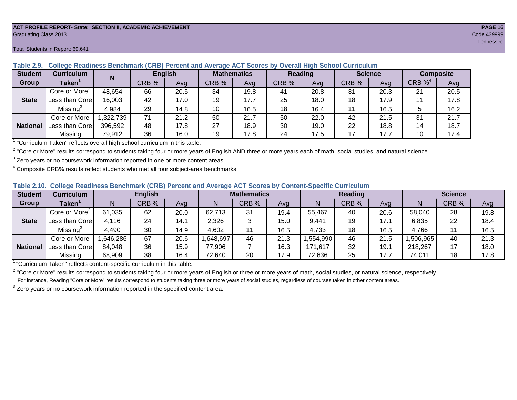#### **ACT PROFILE REPORT- State: SECTION II, ACADEMIC ACHIEVEMENT PAGE 16** Graduating Class 2013 Code 439999

#### **Student Curriculum English Mathematics Reading Science Composite Group Taken<sup>1</sup> | III** CRB % | Avg | CRB % | Avg | CRB % | Avg | CRB % | CRB %<sup>4</sup> Avg Core or More<sup>2</sup> 48,654 | 66 | 20.5 | 34 | 19.8 | 41 | 20.8 | 31 | 20.3 | 21 | 20.5 Less than Core | 16,003 | 42 | 17.0 | 19 | 17.7 | 25 | 18.0 | 18 | 17.9 | 11 | 17.8 Missing<sup>3</sup> 4,984 | 29 | 14.8 | 10 | 16.5 | 18 | 16.4 | 11 | 16.5 | 5 | 16.2 Core or More | 1,322,739 | 71 | 21.2 | 50 | 250 | 22.0 | 42 | 21.5 | 31 | 21.7 Less than Core 396,592 48 17.8 27 18.9 30 19.0 22 18.8 14 18.7 Missing | 79,912 | 36 | 16.0 | 19 | 17.8 | 24 | 17.5 | 17 | 17.7 | 10 | 17.4 **N State National**

**Table 2.9. College Readiness Benchmark (CRB) Percent and Average ACT Scores by Overall High School Curriculum**

<sup>1</sup> "Curriculum Taken" reflects overall high school curriculum in this table.

 $^2$  "Core or More" results correspond to students taking four or more years of English AND three or more years each of math, social studies, and natural science.

 $3$  Zero years or no coursework information reported in one or more content areas.

 $4$  Composite CRB% results reflect students who met all four subject-area benchmarks.

| Table 2.10. College Readiness Benchmark (CRB) Percent and Average ACT Scores by Content-Specific Curriculum |
|-------------------------------------------------------------------------------------------------------------|
|-------------------------------------------------------------------------------------------------------------|

| <b>Student</b>  | Curriculum                    |          | <b>English</b> |      |          | <b>Mathematics</b> |      |          | <b>Reading</b> |      |          | <b>Science</b> |      |  |
|-----------------|-------------------------------|----------|----------------|------|----------|--------------------|------|----------|----------------|------|----------|----------------|------|--|
| Group           | $\mathsf{Taken}^{\mathsf{T}}$ |          | CRB %          | Avg  | N        | CRB %              | Avg  | N        | CRB %          | Avg  | N        | CRB %          | Avg  |  |
|                 | Core or More <sup>2</sup>     | 61,035   | 62             | 20.0 | 62,713   | 31                 | 19.4 | 55,467   | 40             | 20.6 | 58,040   | 28             | 19.8 |  |
| <b>State</b>    | Less than Corel               | 4,116    | 24             | 14.1 | 2,326    |                    | 15.0 | 9,441    | 19             | 17.1 | 6,835    | 22             | 18.4 |  |
|                 | Missing <sup>3</sup>          | 4,490    | 30             | 14.9 | 4,602    | 11                 | 16.5 | 4,733    | 18             | 16.5 | 4,766    |                | 16.5 |  |
|                 | Core or More                  | .646,286 | 67             | 20.6 | ,648,697 | 46                 | 21.3 | .554,990 | 46             | 21.5 | ,506,965 | 40             | 21.3 |  |
| <b>National</b> | Less than Core                | 84,048   | 36             | 15.9 | 77,906   |                    | 16.3 | 171,617  | 32             | 19.7 | 218,267  |                | 18.0 |  |
|                 | Missing                       | 68,909   | 38             | 16.4 | 72,640   | 20                 | 17.9 | 72,636   | 25             | 17.7 | 74,011   | 18             | 17.8 |  |

<sup>1</sup>"Curriculum Taken" reflects content-specific curriculum in this table.

<sup>2</sup> "Core or More" results correspond to students taking four or more years of English or three or more years of math, social studies, or natural science, respectively. For instance, Reading "Core or More" results correspond to students taking three or more years of social studies, regardless of courses taken in other content areas.

 $3$  Zero years or no coursework information reported in the specified content area.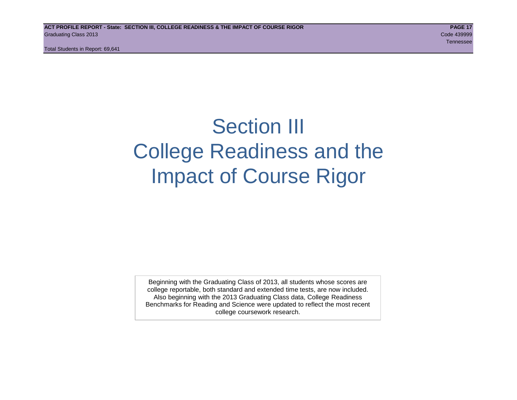# Section III College Readiness and the Impact of Course Rigor

Beginning with the Graduating Class of 2013, all students whose scores are college reportable, both standard and extended time tests, are now included. Also beginning with the 2013 Graduating Class data, College Readiness Benchmarks for Reading and Science were updated to reflect the most recent college coursework research.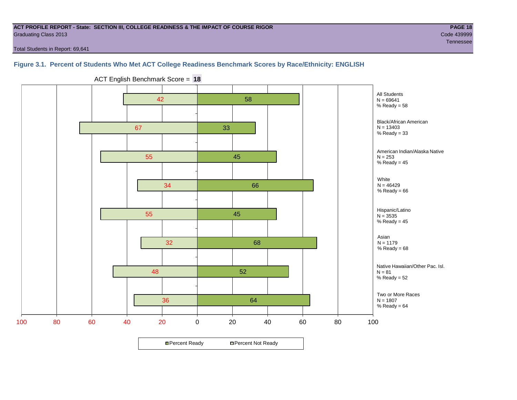#### **ACT PROFILE REPORT - State: SECTION III, COLLEGE READINESS & THE IMPACT OF COURSE RIGOR PAGE 18** Graduating Class 2013 Code 439999

Tennessee in die Staatsmannen van die Staatsmannen van die Staatsmannen van die Staatsmannen van die Staatsman

Total Students in Report: 69,641

# **Figure 3.1. Percent of Students Who Met ACT College Readiness Benchmark Scores by Race/Ethnicity: ENGLISH**



ACT English Benchmark Score = **18**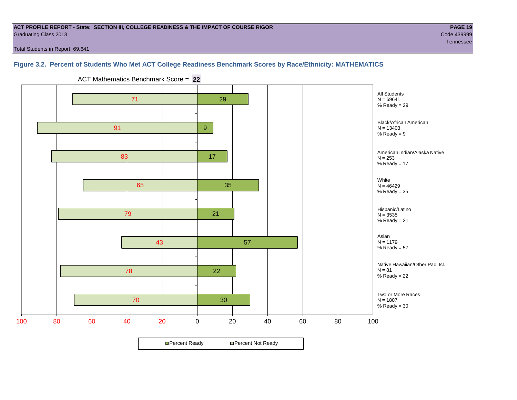#### **ACT PROFILE REPORT - State: SECTION III, COLLEGE READINESS & THE IMPACT OF COURSE RIGOR PAGE 19** Graduating Class 2013 Code 439999

Total Students in Report: 69,641

# **Figure 3.2. Percent of Students Who Met ACT College Readiness Benchmark Scores by Race/Ethnicity: MATHEMATICS**

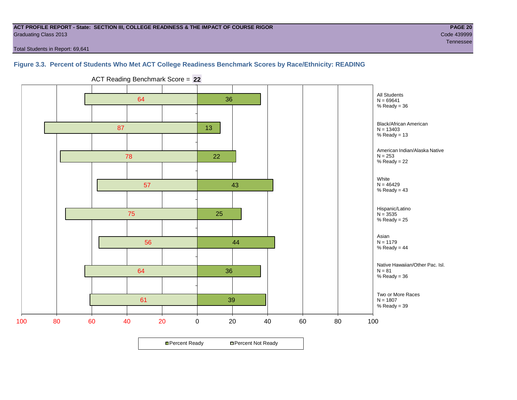#### **ACT PROFILE REPORT - State: SECTION III, COLLEGE READINESS & THE IMPACT OF COURSE RIGOR PAGE 20** Graduating Class 2013 Code 439999

Total Students in Report: 69,641

# **Figure 3.3. Percent of Students Who Met ACT College Readiness Benchmark Scores by Race/Ethnicity: READING**



ACT Reading Benchmark Score = **22**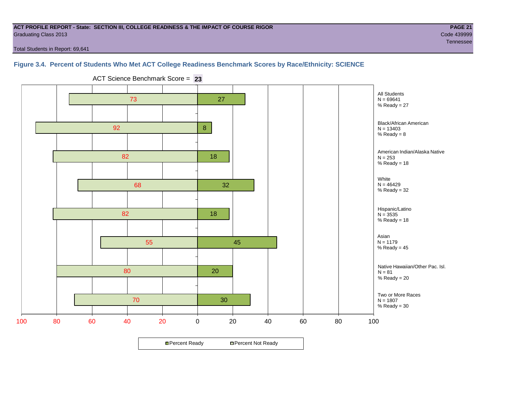#### **ACT PROFILE REPORT - State: SECTION III, COLLEGE READINESS & THE IMPACT OF COURSE RIGOR PAGE 21** Graduating Class 2013 Code 439999

Total Students in Report: 69,641

# **Figure 3.4. Percent of Students Who Met ACT College Readiness Benchmark Scores by Race/Ethnicity: SCIENCE**



ACT Science Benchmark Score = **23**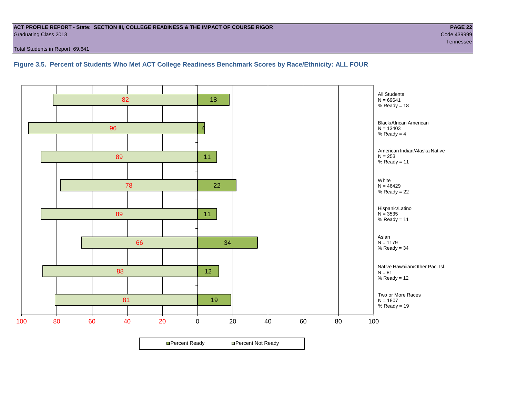#### **ACT PROFILE REPORT - State: SECTION III, COLLEGE READINESS & THE IMPACT OF COURSE RIGOR PAGE 22** Graduating Class 2013 Code 439999

Total Students in Report: 69,641

**Figure 3.5. Percent of Students Who Met ACT College Readiness Benchmark Scores by Race/Ethnicity: ALL FOUR**

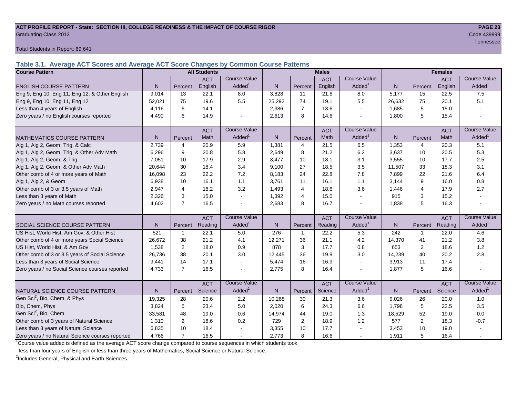#### **ACT PROFILE REPORT - State: SECTION III, COLLEGE READINESS & THE IMPACT OF COURSE RIGOR PAGE 23** Graduating Class 2013 Code 439999

Total Students in Report: 69,641

**Table 3.1. Average ACT Scores and Average ACT Score Changes by Common Course Patterns**

| <b>Course Pattern</b>                            |        |                | <b>All Students</b> |                          | <b>Males</b> |                |            |                     | <b>Females</b> |                |             |                        |
|--------------------------------------------------|--------|----------------|---------------------|--------------------------|--------------|----------------|------------|---------------------|----------------|----------------|-------------|------------------------|
|                                                  |        |                | <b>ACT</b>          | <b>Course Value</b>      |              |                | <b>ACT</b> | <b>Course Value</b> |                |                | <b>ACT</b>  | <b>Course Value</b>    |
| <b>ENGLISH COURSE PATTERN</b>                    | N.     | Percent        | English             | Added <sup>1</sup>       | $\mathsf{N}$ | Percent        | English    | Added <sup>1</sup>  | $\mathsf{N}$   | Percent        | English     | A d d e d <sup>1</sup> |
| Eng 9, Eng 10, Eng 11, Eng 12, & Other English   | 9,014  | 13             | 22.1                | 8.0                      | 3,828        | 11             | 21.6       | 8.0                 | 5,177          | 15             | 22.5        | 7.5                    |
| Eng 9, Eng 10, Eng 11, Eng 12                    | 52,021 | 75             | 19.6                | 5.5                      | 25,292       | 74             | 19.1       | 5.5                 | 26,632         | 75             | 20.1        | 5.1                    |
| Less than 4 years of English                     | 4,116  | 6              | 14.1                |                          | 2,386        | $\overline{7}$ | 13.6       | $\sim$              | 1,685          | 5              | 15.0        |                        |
| Zero years / no English courses reported         | 4,490  | 6              | 14.9                |                          | 2,613        | 8              | 14.6       |                     | 1,800          | 5              | 15.4        |                        |
|                                                  |        |                | <b>ACT</b>          | <b>Course Value</b>      |              |                | <b>ACT</b> | <b>Course Value</b> |                |                | <b>ACT</b>  | <b>Course Value</b>    |
| <b>MATHEMATICS COURSE PATTERN</b>                | N.     | Percent        | Math                | Added <sup>1</sup>       | N            | Percent        | Math       | Added <sup>1</sup>  | N              | Percent        | <b>Math</b> | A d d e d <sup>1</sup> |
| Alg 1, Alg 2, Geom, Trig, & Calc                 | 2,739  | $\overline{4}$ | 20.9                | 5.9                      | 1,381        | $\overline{4}$ | 21.5       | 6.5                 | 1,353          | $\overline{4}$ | 20.3        | $\overline{5.1}$       |
| Alg 1, Alg 2, Geom, Trig, & Other Adv Math       | 6.296  | 9              | 20.8                | 5.8                      | 2,649        | 8              | 21.2       | 6.2                 | 3,637          | 10             | 20.5        | 5.3                    |
| Alg 1, Alg 2, Geom, & Trig                       | 7,051  | 10             | 17.9                | 2.9                      | 3,477        | 10             | 18.1       | 3.1                 | 3,555          | 10             | 17.7        | 2.5                    |
| Alg 1, Alg 2, Geom, & Other Adv Math             | 20,644 | 30             | 18.4                | 3.4                      | 9,100        | 27             | 18.5       | 3.5                 | 11,507         | 33             | 18.3        | 3.1                    |
| Other comb of 4 or more years of Math            | 16,098 | 23             | 22.2                | 7.2                      | 8,183        | 24             | 22.8       | 7.8                 | 7,899          | 22             | 21.6        | 6.4                    |
| Alg 1, Alg 2, & Geom                             | 6,938  | 10             | 16.1                | 1.1                      | 3,761        | 11             | 16.1       | 1.1                 | 3,144          | 9              | 16.0        | 0.8                    |
| Other comb of 3 or 3.5 years of Math             | 2.947  | $\overline{4}$ | 18.2                | 3.2                      | 1,493        | $\overline{4}$ | 18.6       | 3.6                 | 1,446          | $\overline{4}$ | 17.9        | 2.7                    |
| Less than 3 years of Math                        | 2,326  | 3              | 15.0                |                          | 1,392        | $\overline{4}$ | 15.0       | $\sim$              | 915            | 3              | 15.2        |                        |
| Zero years / no Math courses reported            | 4,602  | $\overline{7}$ | 16.5                |                          | 2,683        | 8              | 16.7       | $\blacksquare$      | 1,838          | 5              | 16.3        |                        |
|                                                  |        |                | <b>ACT</b>          | <b>Course Value</b>      |              |                | <b>ACT</b> | <b>Course Value</b> |                |                | <b>ACT</b>  | <b>Course Value</b>    |
| <b>SOCIAL SCIENCE COURSE PATTERN</b>             | N      | Percent        | Reading             | $A d d e d$ <sup>1</sup> | N            | Percent        | Reading    | Added               | N              | Percent        | Reading     | A d d e d <sup>1</sup> |
| US Hist, World Hist, Am Gov, & Other Hist        | 521    | -1             | 22.1                | 5.0                      | 276          | $\mathbf{1}$   | 22.2       | 5.3                 | 242            | 1              | 22.0        | 4.6                    |
| Other comb of 4 or more years Social Science     | 26,672 | 38             | 21.2                | 4.1                      | 12,271       | 36             | 21.1       | 4.2                 | 14,370         | 41             | 21.2        | 3.8                    |
| US Hist, World Hist, & Am Gov                    | 1,538  | 2              | 18.0                | 0.9                      | 878          | 3              | 17.7       | 0.8                 | 653            | 2              | 18.6        | 1.2                    |
| Other comb of 3 or 3.5 years of Social Science   | 26,736 | 38             | 20.1                | 3.0                      | 12,445       | 36             | 19.9       | 3.0                 | 14,239         | 40             | 20.2        | 2.8                    |
| Less than 3 years of Social Science              | 9,441  | 14             | 17.1                |                          | 5,474        | 16             | 16.9       | $\sim$              | 3,913          | 11             | 17.4        |                        |
| Zero years / no Social Science courses reported  | 4,733  | $\overline{7}$ | 16.5                |                          | 2,775        | 8              | 16.4       | $\blacksquare$      | 1,877          | 5              | 16.6        |                        |
|                                                  |        |                | <b>ACT</b>          | <b>Course Value</b>      |              |                | <b>ACT</b> | <b>Course Value</b> |                |                | <b>ACT</b>  | <b>Course Value</b>    |
| NATURAL SCIENCE COURSE PATTERN                   | N.     | Percent        | Science             | Added <sup>1</sup>       | $\mathsf{N}$ | Percent        | Science    | Added <sup>1</sup>  | $\mathsf{N}$   | Percent        | Science     | A d d e d <sup>1</sup> |
| Gen Sci <sup>2</sup> , Bio, Chem, & Phys         | 19,325 | 28             | 20.6                | 2.2                      | 10,268       | 30             | 21.3       | 3.6                 | 9,026          | 26             | 20.0        | 1.0                    |
| Bio, Chem, Phys                                  | 3.824  | 5              | 23.4                | 5.0                      | 2,020        | 6              | 24.3       | 6.6                 | 1,798          | 5              | 22.5        | 3.5                    |
| Gen Sci <sup>2</sup> , Bio, Chem                 | 33,581 | 48             | 19.0                | 0.6                      | 14,974       | 44             | 19.0       | 1.3                 | 18,529         | 52             | 19.0        | 0.0                    |
| Other comb of 3 years of Natural Science         | 1,310  | $\overline{2}$ | 18.6                | 0.2                      | 729          | 2              | 18.9       | 1.2                 | 577            | $\overline{2}$ | 18.3        | $-0.7$                 |
| Less than 3 years of Natural Science             | 6,835  | 10             | 18.4                |                          | 3,355        | 10             | 17.7       | $\blacksquare$      | 3,453          | 10             | 19.0        |                        |
| Zero years / no Natural Science courses reported | 4,766  | $\overline{7}$ | 16.5                |                          | 2,773        | 8              | 16.6       |                     | 1,911          | 5              | 16.4        |                        |

<sup>1</sup>Course value added is defined as the average ACT score change compared to course sequences in which students took

less than four years of English or less than three years of Mathematics, Social Science or Natural Science.

<sup>2</sup>Includes General, Physical and Earth Sciences.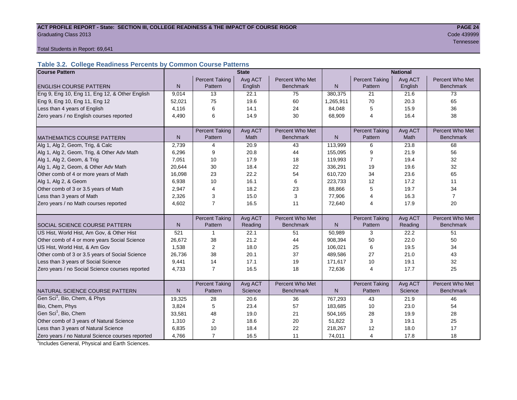#### ACT PROFILE REPORT - State: SECTION III, COLLEGE READINESS & THE IMPACT OF COURSE RIGOR **PAGE 24 Graduating Class 2013** Code 439999

Tennessee in die Staatsmannen van die Staatsmannen van die Staatsmannen van die Staatsmannen van die Staatsman

Total Students in Report: 69,641

# **Table 3.2. College Readiness Percents by Common Course Patterns**

| <b>Course Pattern</b>                            |              |                         | <b>State</b> |                  | <b>National</b> |                       |         |                  |  |
|--------------------------------------------------|--------------|-------------------------|--------------|------------------|-----------------|-----------------------|---------|------------------|--|
|                                                  |              | <b>Percent Taking</b>   | Avg ACT      | Percent Who Met  |                 | <b>Percent Taking</b> | Avg ACT | Percent Who Met  |  |
| <b>ENGLISH COURSE PATTERN</b>                    | $\mathsf{N}$ | Pattern                 | English      | <b>Benchmark</b> | N               | Pattern               | English | <b>Benchmark</b> |  |
| Eng 9, Eng 10, Eng 11, Eng 12, & Other English   | 9,014        | 13                      | 22.1         | 75               | 380,375         | 21                    | 21.6    | 73               |  |
| Eng 9, Eng 10, Eng 11, Eng 12                    | 52,021       | 75                      | 19.6         | 60               | 1,265,911       | 70                    | 20.3    | 65               |  |
| Less than 4 years of English                     | 4,116        | 6                       | 14.1         | 24               | 84,048          | 5                     | 15.9    | 36               |  |
| Zero years / no English courses reported         | 4,490        | 6                       | 14.9         | 30               | 68,909          | 4                     | 16.4    | 38               |  |
|                                                  |              |                         |              |                  |                 |                       |         |                  |  |
|                                                  |              | <b>Percent Taking</b>   | Avg ACT      | Percent Who Met  |                 | <b>Percent Taking</b> | Avg ACT | Percent Who Met  |  |
| <b>MATHEMATICS COURSE PATTERN</b>                | $\mathsf{N}$ | Pattern                 | Math         | <b>Benchmark</b> | $\mathsf{N}$    | Pattern               | Math    | <b>Benchmark</b> |  |
| Alg 1, Alg 2, Geom, Trig, & Calc                 | 2,739        | $\overline{4}$          | 20.9         | 43               | 113,999         | 6                     | 23.8    | 68               |  |
| Alg 1, Alg 2, Geom, Trig, & Other Adv Math       | 6,296        | 9                       | 20.8         | 44               | 155,095         | 9                     | 21.9    | 56               |  |
| Alg 1, Alg 2, Geom, & Trig                       | 7,051        | 10                      | 17.9         | 18               | 119,993         | $\overline{7}$        | 19.4    | 32               |  |
| Alg 1, Alg 2, Geom, & Other Adv Math             | 20,644       | 30                      | 18.4         | 22               | 336,291         | 19                    | 19.6    | 32               |  |
| Other comb of 4 or more years of Math            | 16,098       | 23                      | 22.2         | 54               | 610,720         | 34                    | 23.6    | 65               |  |
| Alg 1, Alg 2, & Geom                             | 6,938        | 10                      | 16.1         | 6                | 223,733         | 12                    | 17.2    | 11               |  |
| Other comb of 3 or 3.5 years of Math             | 2,947        | 4                       | 18.2         | 23               | 88,866          | 5                     | 19.7    | 34               |  |
| Less than 3 years of Math                        | 2,326        | 3                       | 15.0         | 3                | 77,906          | 4                     | 16.3    | $\overline{7}$   |  |
| Zero years / no Math courses reported            | 4,602        | $\overline{7}$          | 16.5         | 11               | 72,640          | 4                     | 17.9    | 20               |  |
|                                                  |              |                         |              |                  |                 |                       |         |                  |  |
|                                                  |              | <b>Percent Taking</b>   | Avg ACT      | Percent Who Met  |                 | <b>Percent Taking</b> | Avg ACT | Percent Who Met  |  |
| <b>SOCIAL SCIENCE COURSE PATTERN</b>             | N            | Pattern                 | Reading      | <b>Benchmark</b> | N               | Pattern               | Reading | <b>Benchmark</b> |  |
| US Hist, World Hist, Am Gov, & Other Hist        | 521          | $\mathbf 1$             | 22.1         | 51               | 50,989          | 3                     | 22.2    | 51               |  |
| Other comb of 4 or more years Social Science     | 26,672       | 38                      | 21.2         | 44               | 908,394         | 50                    | 22.0    | 50               |  |
| US Hist, World Hist, & Am Gov                    | 1,538        | $\overline{2}$          | 18.0         | 25               | 106,021         | 6                     | 19.5    | 34               |  |
| Other comb of 3 or 3.5 years of Social Science   | 26,736       | 38                      | 20.1         | 37               | 489,586         | 27                    | 21.0    | 43               |  |
| Less than 3 years of Social Science              | 9,441        | 14                      | 17.1         | 19               | 171,617         | 10                    | 19.1    | 32               |  |
| Zero years / no Social Science courses reported  | 4,733        | $\overline{7}$          | 16.5         | 18               | 72,636          | $\overline{4}$        | 17.7    | 25               |  |
|                                                  |              |                         |              |                  |                 |                       |         |                  |  |
|                                                  |              | <b>Percent Taking</b>   | Avg ACT      | Percent Who Met  |                 | <b>Percent Taking</b> | Avg ACT | Percent Who Met  |  |
| NATURAL SCIENCE COURSE PATTERN                   | N            | Pattern                 | Science      | <b>Benchmark</b> | N               | Pattern               | Science | <b>Benchmark</b> |  |
| Gen Sci <sup>1</sup> , Bio, Chem, & Phys         | 19,325       | 28                      | 20.6         | 36               | 767,293         | 43                    | 21.9    | 46               |  |
| Bio, Chem, Phys                                  | 3,824        | 5                       | 23.4         | 57               | 183,685         | 10                    | 23.0    | 54               |  |
| Gen Sci <sup>1</sup> , Bio, Chem                 | 33,581       | 48                      | 19.0         | 21               | 504,165         | 28                    | 19.9    | 28               |  |
| Other comb of 3 years of Natural Science         | 1,310        | $\overline{\mathbf{c}}$ | 18.6         | 20               | 51,822          | 3                     | 19.1    | 25               |  |
| Less than 3 years of Natural Science             | 6,835        | 10                      | 18.4         | 22               | 218,267         | 12                    | 18.0    | 17               |  |
| Zero years / no Natural Science courses reported | 4,766        | $\overline{7}$          | 16.5         | 11               | 74,011          | 4                     | 17.8    | 18               |  |

<sup>1</sup>Includes General, Physical and Earth Sciences.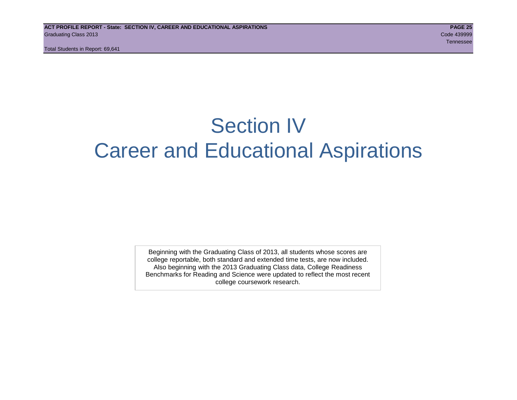# Section IV Career and Educational Aspirations

Beginning with the Graduating Class of 2013, all students whose scores are college reportable, both standard and extended time tests, are now included. Also beginning with the 2013 Graduating Class data, College Readiness Benchmarks for Reading and Science were updated to reflect the most recent college coursework research.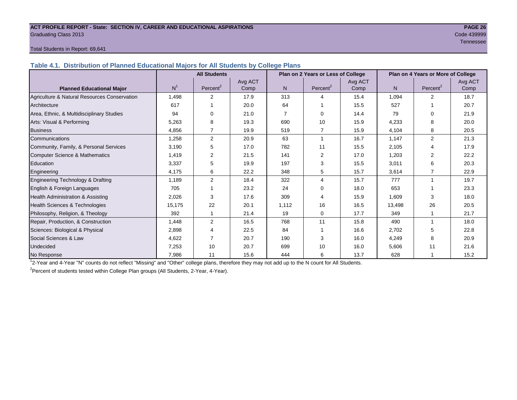#### **ACT PROFILE REPORT - State: SECTION IV, CAREER AND EDUCATIONAL ASPIRATIONS PAGE 26** Graduating Class 2013 Code 439999

# Tennessee in die Staatsmannen van die Staatsmannen van die Staatsmannen van die Staatsmannen van die Staatsman

### Total Students in Report: 69,641

**Table 4.1. Distribution of Planned Educational Majors for All Students by College Plans**

|                                              | <b>All Students</b><br>Plan on 2 Years or Less of College |                      |                 |       |                      |                 | Plan on 4 Years or More of College |                         |                 |
|----------------------------------------------|-----------------------------------------------------------|----------------------|-----------------|-------|----------------------|-----------------|------------------------------------|-------------------------|-----------------|
| <b>Planned Educational Major</b>             | N <sup>1</sup>                                            | Percent <sup>2</sup> | Avg ACT<br>Comp | N.    | Percent <sup>2</sup> | Avg ACT<br>Comp | N                                  | Percent <sup>2</sup>    | Avg ACT<br>Comp |
| Agriculture & Natural Resources Conservation | 1,498                                                     | 2                    | 17.9            | 313   | 4                    | 15.4            | 1,094                              | 2                       | 18.7            |
| Architecture                                 | 617                                                       |                      | 20.0            | 64    |                      | 15.5            | 527                                |                         | 20.7            |
| Area, Ethnic, & Multidisciplinary Studies    | 94                                                        | $\Omega$             | 21.0            |       | $\Omega$             | 14.4            | 79                                 | $\Omega$                | 21.9            |
| Arts: Visual & Performing                    | 5,263                                                     | 8                    | 19.3            | 690   | 10                   | 15.9            | 4,233                              | 8                       | 20.0            |
| <b>Business</b>                              | 4.856                                                     | $\overline{7}$       | 19.9            | 519   | $\overline{7}$       | 15.9            | 4,104                              | 8                       | 20.5            |
| Communications                               | 1,258                                                     | $\overline{2}$       | 20.9            | 63    | 1                    | 16.7            | 1,147                              | 2                       | 21.3            |
| Community, Family, & Personal Services       | 3,190                                                     | 5                    | 17.0            | 782   | 11                   | 15.5            | 2,105                              | $\overline{4}$          | 17.9            |
| Computer Science & Mathematics               | 1,419                                                     | 2                    | 21.5            | 141   | 2                    | 17.0            | 1,203                              | 2                       | 22.2            |
| Education                                    | 3,337                                                     | 5                    | 19.9            | 197   | 3                    | 15.5            | 3,011                              | 6                       | 20.3            |
| Engineering                                  | 4,175                                                     | 6                    | 22.2            | 348   | 5                    | 15.7            | 3,614                              |                         | 22.9            |
| Engineering Technology & Drafting            | 1.189                                                     | 2                    | 18.4            | 322   | 4                    | 15.7            | 777                                | $\overline{\mathbf{1}}$ | 19.7            |
| English & Foreign Languages                  | 705                                                       |                      | 23.2            | 24    | $\Omega$             | 18.0            | 653                                |                         | 23.3            |
| Health Administration & Assisting            | 2,026                                                     | 3                    | 17.6            | 309   | 4                    | 15.9            | 1,609                              | 3                       | 18.0            |
| Health Sciences & Technologies               | 15,175                                                    | 22                   | 20.1            | 1.112 | 16                   | 16.5            | 13,498                             | 26                      | 20.5            |
| Philosophy, Religion, & Theology             | 392                                                       |                      | 21.4            | 19    | 0                    | 17.7            | 349                                |                         | 21.7            |
| Repair, Production, & Construction           | 1,448                                                     | 2                    | 16.5            | 768   | 11                   | 15.8            | 490                                | $\overline{ }$          | 18.0            |
| Sciences: Biological & Physical              | 2,898                                                     | 4                    | 22.5            | 84    |                      | 16.6            | 2,702                              | 5                       | 22.8            |
| Social Sciences & Law                        | 4,622                                                     |                      | 20.7            | 190   | 3                    | 16.0            | 4,249                              | 8                       | 20.9            |
| <b>Undecided</b>                             | 7,253                                                     | 10                   | 20.7            | 699   | 10                   | 16.0            | 5,606                              | 11                      | 21.6            |
| No Response                                  | 7,986                                                     | 11                   | 15.6            | 444   | 6                    | 13.7            | 628                                |                         | 15.2            |

1 2-Year and 4-Year "N" counts do not reflect "Missing" and "Other" college plans, therefore they may not add up to the N count for All Students.

<sup>2</sup> Percent of students tested within College Plan groups (All Students, 2-Year, 4-Year).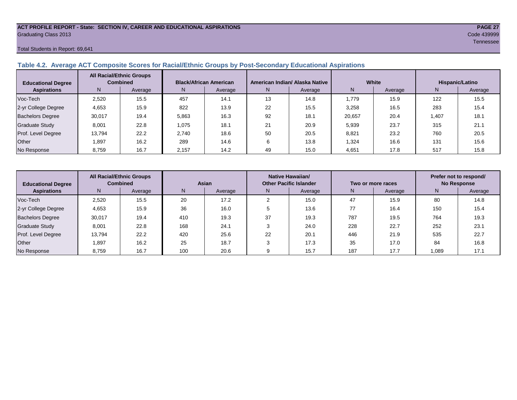#### **ACT PROFILE REPORT - State: SECTION IV, CAREER AND EDUCATIONAL ASPIRATIONS PAGE 27** Graduating Class 2013 Code 439999

#### Total Students in Report: 69,641

### **Table 4.2. Average ACT Composite Scores for Racial/Ethnic Groups by Post-Secondary Educational Aspirations**

| <b>Educational Degree</b> | <b>All Racial/Ethnic Groups</b><br><b>Combined</b> |         | <b>Black/African American</b> |         |    | American Indian/ Alaska Native |        | White   | Hispanic/Latino |         |  |
|---------------------------|----------------------------------------------------|---------|-------------------------------|---------|----|--------------------------------|--------|---------|-----------------|---------|--|
| <b>Aspirations</b>        | N.                                                 | Average | N.                            | Average | N. | Average                        | N      | Average | N.              | Average |  |
| Voc-Tech                  | 2,520                                              | 15.5    | 457                           | 14.1    | 13 | 14.8                           | 1.779  | 15.9    | 122             | 15.5    |  |
| 2-yr College Degree       | 4,653                                              | 15.9    | 822                           | 13.9    | 22 | 15.5                           | 3,258  | 16.5    | 283             | 15.4    |  |
| <b>Bachelors Degree</b>   | 30,017                                             | 19.4    | 5,863                         | 16.3    | 92 | 18.1                           | 20,657 | 20.4    | 1.407           | 18.1    |  |
| <b>Graduate Study</b>     | 8,001                                              | 22.8    | 1.075                         | 18.1    | 21 | 20.9                           | 5,939  | 23.7    | 315             | 21.1    |  |
| Prof. Level Degree        | 13,794                                             | 22.2    | 2,740                         | 18.6    | 50 | 20.5                           | 8,821  | 23.2    | 760             | 20.5    |  |
| Other                     | 1,897                                              | 16.2    | 289                           | 14.6    | 6  | 13.8                           | 1,324  | 16.6    | 131             | 15.6    |  |
| No Response               | 8,759                                              | 16.7    | 2,157                         | 14.2    | 49 | 15.0                           | 4,651  | 17.8    | 517             | 15.8    |  |

| <b>Educational Degree</b> | <b>All Racial/Ethnic Groups</b><br><b>Combined</b> |         | <b>Asian</b> |         |               | Native Hawaiian/<br><b>Other Pacific Islander</b> |     | Two or more races | Prefer not to respond/<br><b>No Response</b> |         |
|---------------------------|----------------------------------------------------|---------|--------------|---------|---------------|---------------------------------------------------|-----|-------------------|----------------------------------------------|---------|
| <b>Aspirations</b>        | N                                                  | Average | N            | Average | N.<br>Average |                                                   | N.  | Average           | Ν                                            | Average |
| Voc-Tech                  | 2.520                                              | 15.5    | 20           | 17.2    |               | 15.0                                              | 47  | 15.9              | 80                                           | 14.8    |
| 2-yr College Degree       | 4,653                                              | 15.9    | 36           | 16.0    |               | 13.6                                              | 77  | 16.4              | 150                                          | 15.4    |
| Bachelors Degree          | 30,017                                             | 19.4    | 410          | 19.3    | 37            | 19.3                                              | 787 | 19.5              | 764                                          | 19.3    |
| <b>Graduate Study</b>     | 8,001                                              | 22.8    | 168          | 24.1    |               | 24.0                                              | 228 | 22.7              | 252                                          | 23.1    |
| Prof. Level Degree        | 13.794                                             | 22.2    | 420          | 25.6    | 22            | 20.1                                              | 446 | 21.9              | 535                                          | 22.7    |
| Other                     | 1,897                                              | 16.2    | 25           | 18.7    |               | 17.3                                              | 35  | 17.0              | 84                                           | 16.8    |
| No Response               | 8,759                                              | 16.7    | 100          | 20.6    |               | 15.7                                              | 187 | 17.7              | 1,089                                        | 17.1    |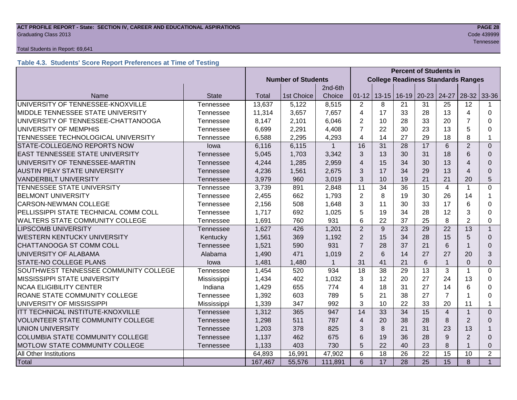#### **ACT PROFILE REPORT - State: SECTION IV, CAREER AND EDUCATIONAL ASPIRATIONS PAGE 28 Graduating Class 2013** Code 439999 Code 439999

#### Total Students in Report: 69,641

# **Table 4.3. Students' Score Report Preferences at Time of Testing**

|                                                      |                  |                           |            |              | <b>Percent of Students in</b> |                                           |         |           |                |                         |                |
|------------------------------------------------------|------------------|---------------------------|------------|--------------|-------------------------------|-------------------------------------------|---------|-----------|----------------|-------------------------|----------------|
|                                                      |                  | <b>Number of Students</b> |            |              |                               | <b>College Readiness Standards Ranges</b> |         |           |                |                         |                |
|                                                      |                  |                           |            | 2nd-6th      |                               |                                           |         |           |                |                         |                |
| Name                                                 | <b>State</b>     | <b>Total</b>              | 1st Choice | Choice       | $01 - 12$                     | $13 - 15$                                 | $16-19$ | $20 - 23$ | 24-27          | 28-32                   | 33-36          |
| UNIVERSITY OF TENNESSEE-KNOXVILLE                    | <b>Tennessee</b> | 13,637                    | 5,122      | 8,515        | $\overline{2}$                | 8                                         | 21      | 31        | 25             | 12                      |                |
| MIDDLE TENNESSEE STATE UNIVERSITY                    | Tennessee        | 11,314                    | 3,657      | 7,657        | $\overline{4}$                | 17                                        | 33      | 28        | 13             | 4                       | $\Omega$       |
| UNIVERSITY OF TENNESSEE-CHATTANOOGA                  | Tennessee        | 8,147                     | 2,101      | 6,046        | $\overline{2}$                | 10                                        | 28      | 33        | 20             | $\overline{7}$          | $\Omega$       |
| UNIVERSITY OF MEMPHIS                                | Tennessee        | 6,699                     | 2,291      | 4,408        | $\overline{7}$                | 22                                        | 30      | 23        | 13             | 5                       | $\Omega$       |
| TENNESSEE TECHNOLOGICAL UNIVERSITY                   | Tennessee        | 6,588                     | 2,295      | 4,293        | $\overline{4}$                | 14                                        | 27      | 29        | 18             | 8                       | 1              |
| STATE-COLLEGE/NO REPORTS NOW                         | lowa             | 6,116                     | 6,115      | $\mathbf{1}$ | 16                            | 31                                        | 28      | 17        | 6              | $\overline{2}$          | $\Omega$       |
| <b>EAST TENNESSEE STATE UNIVERSITY</b>               | Tennessee        | 5,045                     | 1,703      | 3,342        | 3                             | 13                                        | 30      | 31        | 18             | 6                       | $\Omega$       |
| UNIVERSITY OF TENNESSEE-MARTIN                       | Tennessee        | 4,244                     | 1,285      | 2,959        | $\overline{4}$                | 15                                        | 34      | 30        | 13             | $\overline{4}$          | $\Omega$       |
| <b>AUSTIN PEAY STATE UNIVERSITY</b>                  | Tennessee        | 4,236                     | 1,561      | 2,675        | 3                             | 17                                        | 34      | 29        | 13             | $\overline{\mathbf{4}}$ | $\Omega$       |
| <b>VANDERBILT UNIVERSITY</b>                         | Tennessee        | 3,979                     | 960        | 3,019        | 3                             | 10                                        | 19      | 21        | 21             | 20                      | 5              |
| TENNESSEE STATE UNIVERSITY                           | Tennessee        | 3,739                     | 891        | 2,848        | 11                            | 34                                        | 36      | 15        | $\overline{4}$ | 1                       | $\mathbf 0$    |
| <b>BELMONT UNIVERSITY</b>                            | Tennessee        | 2,455                     | 662        | 1,793        | $\overline{2}$                | 8                                         | 19      | 30        | 26             | 14                      | 1              |
| CARSON-NEWMAN COLLEGE                                | Tennessee        | 2,156                     | 508        | 1,648        | 3                             | 11                                        | 30      | 33        | 17             | 6                       | $\Omega$       |
| PELLISSIPPI STATE TECHNICAL COMM COLL                | Tennessee        | 1,717                     | 692        | 1,025        | 5                             | 19                                        | 34      | 28        | 12             | 3                       | $\Omega$       |
| WALTERS STATE COMMUNITY COLLEGE                      | Tennessee        | 1,691                     | 760        | 931          | 6                             | 22                                        | 37      | 25        | 8              | $\overline{2}$          | $\Omega$       |
| <b>LIPSCOMB UNIVERSITY</b>                           | Tennessee        | 1,627                     | 426        | 1,201        | 2                             | 9                                         | 23      | 29        | 22             | 13                      | $\mathbf{1}$   |
| <b>WESTERN KENTUCKY UNIVERSITY</b>                   | Kentucky         | 1,561                     | 369        | 1,192        | $\overline{2}$                | 15                                        | 34      | 28        | 15             | 5                       | $\Omega$       |
| CHATTANOOGA ST COMM COLL                             | Tennessee        | 1,521                     | 590        | 931          | $\overline{7}$                | 28                                        | 37      | 21        | 6              | -1                      | $\Omega$       |
| UNIVERSITY OF ALABAMA                                | Alabama          | 1,490                     | 471        | 1,019        | 2                             | 6                                         | 14      | 27        | 27             | 20                      | 3              |
| STATE-NO COLLEGE PLANS                               | lowa             | 1,481                     | 1,480      | $\mathbf{1}$ | 31                            | 41                                        | 21      | 6         | $\mathbf{1}$   | $\Omega$                | $\Omega$       |
| SOUTHWEST TENNESSEE COMMUNITY COLLEGE                | Tennessee        | 1,454                     | 520        | 934          | 18                            | 38                                        | 29      | 13        | 3              | $\mathbf 1$             | $\Omega$       |
| MISSISSIPPI STATE UNIVERSITY                         | Mississippi      | 1,434                     | 402        | 1,032        | 3                             | 12                                        | 20      | 27        | 24             | 13                      | $\Omega$       |
| <b>NCAA ELIGIBILITY CENTER</b>                       | Indiana          | 1,429                     | 655        | 774          | $\overline{4}$                | 18                                        | 31      | 27        | 14             | 6                       | $\Omega$       |
| ROANE STATE COMMUNITY COLLEGE                        | Tennessee        | 1,392                     | 603        | 789          | 5                             | 21                                        | 38      | 27        | $\overline{7}$ | 1                       | $\Omega$       |
| UNIVERSITY OF MISSISSIPPI                            | Mississippi      | 1,339                     | 347        | 992          | 3                             | 10                                        | 22      | 33        | 20             | 11                      | 1              |
| ITT TECHNICAL INSTITUTE-KNOXVILLE                    | Tennessee        | 1,312                     | 365        | 947          | 14                            | 33                                        | 34      | 15        | $\overline{4}$ | $\overline{1}$          | $\Omega$       |
| VOLUNTEER STATE COMMUNITY COLLEGE                    | Tennessee        | 1,298                     | 511        | 787          | $\overline{4}$                | 20                                        | 38      | 28        | 8              | $\overline{2}$          | $\Omega$       |
| <b>UNION UNIVERSITY</b>                              | Tennessee        | 1,203                     | 378        | 825          | 3                             | 8                                         | 21      | 31        | 23             | 13                      |                |
| <b>COLUMBIA STATE COMMUNITY COLLEGE</b><br>Tennessee |                  | 1,137                     | 462        | 675          | 6                             | 19                                        | 36      | 28        | 9              | $\overline{2}$          | $\Omega$       |
| MOTLOW STATE COMMUNITY COLLEGE                       | Tennessee        | 1,133                     | 403        | 730          | 5                             | 22                                        | 40      | 23        | 8              |                         | $\Omega$       |
| All Other Institutions                               |                  | 64,893                    | 16,991     | 47,902       | 6                             | 18                                        | 26      | 22        | 15             | 10                      | $\overline{2}$ |
| Total                                                |                  | 167,467                   | 55,576     | 111,891      | 6                             | 17                                        | 28      | 25        | 15             | 8                       | $\mathbf{1}$   |

Tennessee in die Staatsmannen van die Staatsmannen van die Staatsmannen van die Staatsmannen van die Staatsman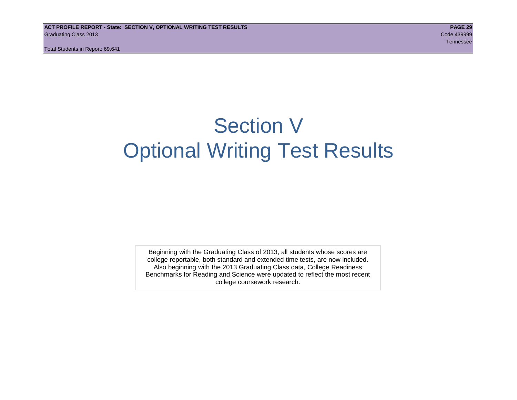# Section V Optional Writing Test Results

Beginning with the Graduating Class of 2013, all students whose scores are college reportable, both standard and extended time tests, are now included. Also beginning with the 2013 Graduating Class data, College Readiness Benchmarks for Reading and Science were updated to reflect the most recent college coursework research.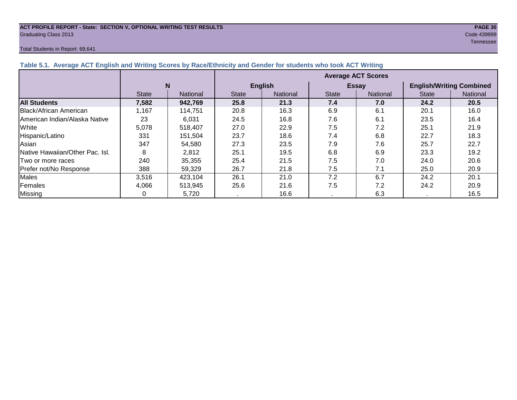#### **ACT PROFILE REPORT - State: SECTION V, OPTIONAL WRITING TEST RESULTS PAGE 30** Graduating Class 2013 Code 439999

#### Total Students in Report: 69,641

Tennessee in die Staatsmannen van die Staatsmannen van die Staatsmannen van die Staatsmannen van die Staatsman

| Table 5.1. Average ACT English and Writing Scores by Race/Ethnicity and Gender for students who took ACT Writing |              |          |                           |                 |              |                 |                                 |          |  |  |
|------------------------------------------------------------------------------------------------------------------|--------------|----------|---------------------------|-----------------|--------------|-----------------|---------------------------------|----------|--|--|
|                                                                                                                  |              |          | <b>Average ACT Scores</b> |                 |              |                 |                                 |          |  |  |
|                                                                                                                  |              | N        |                           | <b>English</b>  |              | <b>Essay</b>    | <b>English/Writing Combined</b> |          |  |  |
|                                                                                                                  | <b>State</b> | National | <b>State</b>              | <b>National</b> | <b>State</b> | <b>National</b> | <b>State</b>                    | National |  |  |
| <b>All Students</b>                                                                                              | 7,582        | 942,769  | 25.8                      | 21.3            | 7.4          | 7.0             | 24.2                            | 20.5     |  |  |
| Black/African American                                                                                           | l.167        | 114,751  | 20.8                      | 16.3            | 6.9          | 6.1             | 20.1                            | 16.0     |  |  |
| <b>IAmerican Indian/Alaska Native</b>                                                                            | 23           | 6,031    | 24.5                      | 16.8            | 7.6          | 6.1             | 23.5                            | 16.4     |  |  |
| White                                                                                                            | 5,078        | 518,407  | 27.0                      | 22.9            | 7.5          | 7.2             | 25.1                            | 21.9     |  |  |
| Hispanic/Latino                                                                                                  | 331          | 151,504  | 23.7                      | 18.6            | 7.4          | 6.8             | 22.7                            | 18.3     |  |  |
| Asian                                                                                                            | 347          | 54,580   | 27.3                      | 23.5            | 7.9          | 7.6             | 25.7                            | 22.7     |  |  |
| Native Hawaiian/Other Pac. Isl.                                                                                  | 8            | 2,812    | 25.1                      | 19.5            | 6.8          | 6.9             | 23.3                            | 19.2     |  |  |
| Two or more races                                                                                                | 240          | 35,355   | 25.4                      | 21.5            | 7.5          | 7.0             | 24.0                            | 20.6     |  |  |
| Prefer not/No Response                                                                                           | 388          | 59,329   | 26.7                      | 21.8            | 7.5          | 7.1             | 25.0                            | 20.9     |  |  |
| <b>Males</b>                                                                                                     | 3,516        | 423,104  | 26.1                      | 21.0            | 7.2          | 6.7             | 24.2                            | 20.1     |  |  |
| Females                                                                                                          | 4,066        | 513,945  | 25.6                      | 21.6            | 7.5          | 7.2             | 24.2                            | 20.9     |  |  |
| Missing                                                                                                          |              | 5,720    |                           | 16.6            |              | 6.3             |                                 | 16.5     |  |  |